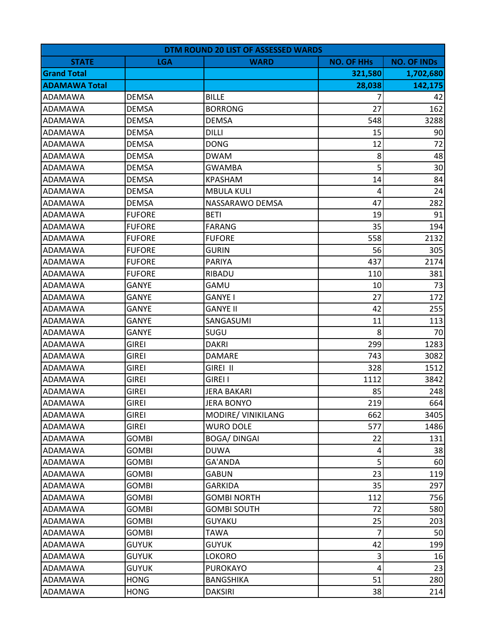|                      | DTM ROUND 20 LIST OF ASSESSED WARDS |                    |                   |                    |  |
|----------------------|-------------------------------------|--------------------|-------------------|--------------------|--|
| <b>STATE</b>         | <b>LGA</b>                          | <b>WARD</b>        | <b>NO. OF HHs</b> | <b>NO. OF INDs</b> |  |
| <b>Grand Total</b>   |                                     |                    | 321,580           | 1,702,680          |  |
| <b>ADAMAWA Total</b> |                                     |                    | 28,038            | 142,175            |  |
| ADAMAWA              | <b>DEMSA</b>                        | <b>BILLE</b>       | 7                 | 42                 |  |
| ADAMAWA              | <b>DEMSA</b>                        | <b>BORRONG</b>     | 27                | 162                |  |
| <b>ADAMAWA</b>       | <b>DEMSA</b>                        | <b>DEMSA</b>       | 548               | 3288               |  |
| <b>ADAMAWA</b>       | <b>DEMSA</b>                        | <b>DILLI</b>       | 15                | 90                 |  |
| <b>ADAMAWA</b>       | <b>DEMSA</b>                        | <b>DONG</b>        | 12                | 72                 |  |
| ADAMAWA              | <b>DEMSA</b>                        | <b>DWAM</b>        | 8                 | 48                 |  |
| <b>ADAMAWA</b>       | <b>DEMSA</b>                        | <b>GWAMBA</b>      | 5                 | 30                 |  |
| <b>ADAMAWA</b>       | <b>DEMSA</b>                        | <b>KPASHAM</b>     | 14                | 84                 |  |
| <b>ADAMAWA</b>       | <b>DEMSA</b>                        | <b>MBULA KULI</b>  | 4                 | 24                 |  |
| <b>ADAMAWA</b>       | <b>DEMSA</b>                        | NASSARAWO DEMSA    | 47                | 282                |  |
| ADAMAWA              | <b>FUFORE</b>                       | <b>BETI</b>        | 19                | 91                 |  |
| <b>ADAMAWA</b>       | <b>FUFORE</b>                       | <b>FARANG</b>      | 35                | 194                |  |
| ADAMAWA              | <b>FUFORE</b>                       | <b>FUFORE</b>      | 558               | 2132               |  |
| <b>ADAMAWA</b>       | <b>FUFORE</b>                       | <b>GURIN</b>       | 56                | 305                |  |
| ADAMAWA              | <b>FUFORE</b>                       | <b>PARIYA</b>      | 437               | 2174               |  |
| <b>ADAMAWA</b>       | <b>FUFORE</b>                       | RIBADU             | 110               | 381                |  |
| <b>ADAMAWA</b>       | <b>GANYE</b>                        | GAMU               | 10                | 73                 |  |
| ADAMAWA              | GANYE                               | <b>GANYE I</b>     | 27                | 172                |  |
| <b>ADAMAWA</b>       | <b>GANYE</b>                        | <b>GANYE II</b>    | 42                | 255                |  |
| ADAMAWA              | <b>GANYE</b>                        | SANGASUMI          | 11                | 113                |  |
| ADAMAWA              | GANYE                               | SUGU               | 8                 | 70                 |  |
| <b>ADAMAWA</b>       | <b>GIREI</b>                        | <b>DAKRI</b>       | 299               | 1283               |  |
| <b>ADAMAWA</b>       | <b>GIREI</b>                        | <b>DAMARE</b>      | 743               | 3082               |  |
| <b>ADAMAWA</b>       | <b>GIREI</b>                        | GIREI II           | 328               | 1512               |  |
| <b>ADAMAWA</b>       | <b>GIREI</b>                        | <b>GIREI I</b>     | 1112              | 3842               |  |
| <b>ADAMAWA</b>       | <b>GIREI</b>                        | <b>JERA BAKARI</b> | 85                | 248                |  |
| <b>ADAMAWA</b>       | <b>GIREI</b>                        | <b>JERA BONYO</b>  | 219               | 664                |  |
| <b>ADAMAWA</b>       | <b>GIREI</b>                        | MODIRE/ VINIKILANG | 662               | 3405               |  |
| <b>ADAMAWA</b>       | <b>GIREI</b>                        | <b>WURO DOLE</b>   | 577               | 1486               |  |
| <b>ADAMAWA</b>       | <b>GOMBI</b>                        | <b>BOGA/DINGAI</b> | 22                | 131                |  |
| <b>ADAMAWA</b>       | <b>GOMBI</b>                        | <b>DUWA</b>        | 4                 | 38                 |  |
| <b>ADAMAWA</b>       | <b>GOMBI</b>                        | GA'ANDA            | 5                 | 60                 |  |
| <b>ADAMAWA</b>       | <b>GOMBI</b>                        | <b>GABUN</b>       | 23                | 119                |  |
| ADAMAWA              | <b>GOMBI</b>                        | <b>GARKIDA</b>     | 35                | 297                |  |
| <b>ADAMAWA</b>       | <b>GOMBI</b>                        | <b>GOMBI NORTH</b> | 112               | 756                |  |
| <b>ADAMAWA</b>       | <b>GOMBI</b>                        | <b>GOMBI SOUTH</b> | 72                | 580                |  |
| ADAMAWA              | GOMBI                               | <b>GUYAKU</b>      | 25                | 203                |  |
| <b>ADAMAWA</b>       | <b>GOMBI</b>                        | <b>TAWA</b>        | 7                 | 50                 |  |
| ADAMAWA              | <b>GUYUK</b>                        | <b>GUYUK</b>       | 42                | 199                |  |
| <b>ADAMAWA</b>       | <b>GUYUK</b>                        | LOKORO             | $\mathsf 3$       | 16                 |  |
| <b>ADAMAWA</b>       | <b>GUYUK</b>                        | <b>PUROKAYO</b>    | $\overline{4}$    | 23                 |  |
| ADAMAWA              | <b>HONG</b>                         | <b>BANGSHIKA</b>   | 51                | 280                |  |
| ADAMAWA              | <b>HONG</b>                         | <b>DAKSIRI</b>     | 38                | 214                |  |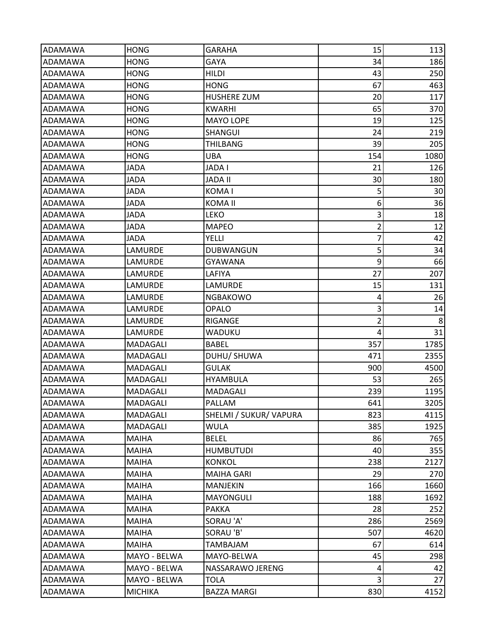| ADAMAWA        | <b>HONG</b>     | <b>GARAHA</b>          | 15             | 113             |
|----------------|-----------------|------------------------|----------------|-----------------|
| ADAMAWA        | <b>HONG</b>     | <b>GAYA</b>            | 34             | 186             |
| ADAMAWA        | HONG            | <b>HILDI</b>           | 43             | 250             |
| <b>ADAMAWA</b> | <b>HONG</b>     | <b>HONG</b>            | 67             | 463             |
| ADAMAWA        | <b>HONG</b>     | <b>HUSHERE ZUM</b>     | 20             | 117             |
| ADAMAWA        | <b>HONG</b>     | <b>KWARHI</b>          | 65             | 370             |
| ADAMAWA        | <b>HONG</b>     | <b>MAYO LOPE</b>       | 19             | 125             |
| ADAMAWA        | HONG            | <b>SHANGUI</b>         | 24             | 219             |
| <b>ADAMAWA</b> | <b>HONG</b>     | <b>THILBANG</b>        | 39             | 205             |
| ADAMAWA        | <b>HONG</b>     | UBA                    | 154            | 1080            |
| ADAMAWA        | JADA            | JADA I                 | 21             | 126             |
| ADAMAWA        | <b>JADA</b>     | <b>JADA II</b>         | 30             | 180             |
| ADAMAWA        | JADA            | KOMA I                 | 5              | 30              |
| ADAMAWA        | JADA            | KOMA II                | 6              | 36              |
| ADAMAWA        | JADA            | <b>LEKO</b>            | 3              | 18              |
| <b>ADAMAWA</b> | JADA            | <b>MAPEO</b>           | $\overline{2}$ | 12              |
| ADAMAWA        | JADA            | YELLI                  | $\overline{7}$ | 42              |
| ADAMAWA        | LAMURDE         | <b>DUBWANGUN</b>       | 5              | 34              |
| ADAMAWA        | LAMURDE         | GYAWANA                | 9              | 66              |
| ADAMAWA        | LAMURDE         | LAFIYA                 | 27             | 207             |
| <b>ADAMAWA</b> | LAMURDE         | LAMURDE                | 15             | 131             |
| ADAMAWA        | LAMURDE         | <b>NGBAKOWO</b>        | 4              | 26              |
| <b>ADAMAWA</b> | LAMURDE         | <b>OPALO</b>           | $\mathsf 3$    | 14              |
| ADAMAWA        | LAMURDE         | RIGANGE                | $\overline{2}$ | 8               |
| ADAMAWA        | LAMURDE         | WADUKU                 | 4              | 31              |
| ADAMAWA        | MADAGALI        | <b>BABEL</b>           | 357            | 1785            |
| ADAMAWA        | MADAGALI        | DUHU/ SHUWA            | 471            | 2355            |
| <b>ADAMAWA</b> | <b>MADAGALI</b> | <b>GULAK</b>           | 900            | 4500            |
| <b>ADAMAWA</b> | MADAGALI        | <b>HYAMBULA</b>        | 53             | 265             |
| <b>ADAMAWA</b> | MADAGALI        | MADAGALI               | 239            | 1195            |
| ADAMAWA        | MADAGALI        | PALLAM                 | 641            | 3205            |
| ADAMAWA        | MADAGALI        | SHELMI / SUKUR/ VAPURA | 823            | 4115            |
| ADAMAWA        | MADAGALI        | <b>WULA</b>            | 385            | 1925            |
| ADAMAWA        | MAIHA           | <b>BELEL</b>           | 86             | 765             |
| <b>ADAMAWA</b> | MAIHA           | <b>HUMBUTUDI</b>       | 40             | 355             |
| <b>ADAMAWA</b> | MAIHA           | <b>KONKOL</b>          | 238            | 2127            |
| ADAMAWA        | <b>MAIHA</b>    | <b>MAIHA GARI</b>      | 29             | 270             |
| ADAMAWA        | MAIHA           | <b>MANJEKIN</b>        | 166            | 1660            |
| ADAMAWA        | MAIHA           | <b>MAYONGULI</b>       | 188            | 1692            |
| <b>ADAMAWA</b> | <b>MAIHA</b>    | <b>PAKKA</b>           | 28             | 252             |
| ADAMAWA        | MAIHA           | SORAU 'A'              | 286            | 2569            |
| <b>ADAMAWA</b> | <b>MAIHA</b>    | SORAU 'B'              | 507            | 4620            |
| ADAMAWA        | MAIHA           | <b>TAMBAJAM</b>        | 67             | 614             |
| <b>ADAMAWA</b> | MAYO - BELWA    | MAYO-BELWA             | 45             | 298             |
| ADAMAWA        | MAYO - BELWA    | NASSARAWO JERENG       | 4              | 42              |
| ADAMAWA        | MAYO - BELWA    | TOLA                   | 3              | 27 <sup>1</sup> |
| ADAMAWA        | <b>MICHIKA</b>  | <b>BAZZA MARGI</b>     | 830            | 4152            |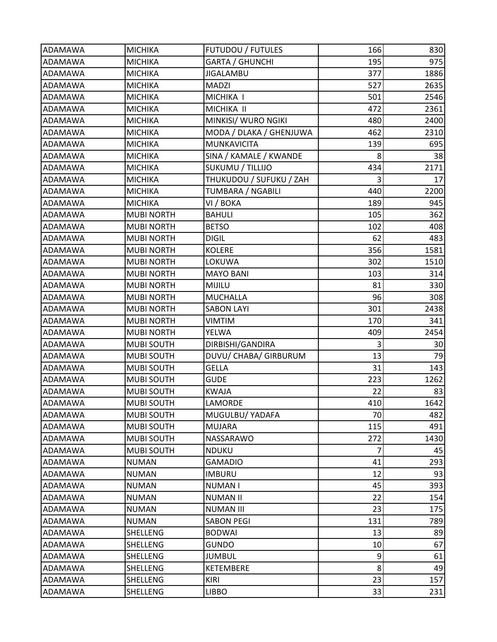| <b>ADAMAWA</b> | <b>MICHIKA</b>    | <b>FUTUDOU / FUTULES</b> | 166 | 830  |
|----------------|-------------------|--------------------------|-----|------|
| ADAMAWA        | <b>MICHIKA</b>    | <b>GARTA / GHUNCHI</b>   | 195 | 975  |
| ADAMAWA        | <b>MICHIKA</b>    | <b>JIGALAMBU</b>         | 377 | 1886 |
| <b>ADAMAWA</b> | <b>MICHIKA</b>    | <b>MADZI</b>             | 527 | 2635 |
| ADAMAWA        | <b>MICHIKA</b>    | MICHIKA I                | 501 | 2546 |
| ADAMAWA        | <b>MICHIKA</b>    | MICHIKA II               | 472 | 2361 |
| ADAMAWA        | <b>MICHIKA</b>    | MINKISI/ WURO NGIKI      | 480 | 2400 |
| ADAMAWA        | <b>MICHIKA</b>    | MODA / DLAKA / GHENJUWA  | 462 | 2310 |
| <b>ADAMAWA</b> | <b>MICHIKA</b>    | <b>MUNKAVICITA</b>       | 139 | 695  |
| ADAMAWA        | <b>MICHIKA</b>    | SINA / KAMALE / KWANDE   | 8   | 38   |
| <b>ADAMAWA</b> | <b>MICHIKA</b>    | SUKUMU / TILLIJO         | 434 | 2171 |
| ADAMAWA        | <b>MICHIKA</b>    | THUKUDOU / SUFUKU / ZAH  | 3   | 17   |
| <b>ADAMAWA</b> | <b>MICHIKA</b>    | <b>TUMBARA / NGABILI</b> | 440 | 2200 |
| ADAMAWA        | <b>MICHIKA</b>    | VI / BOKA                | 189 | 945  |
| ADAMAWA        | <b>MUBI NORTH</b> | <b>BAHULI</b>            | 105 | 362  |
| <b>ADAMAWA</b> | <b>MUBI NORTH</b> | <b>BETSO</b>             | 102 | 408  |
| ADAMAWA        | <b>MUBI NORTH</b> | <b>DIGIL</b>             | 62  | 483  |
| <b>ADAMAWA</b> | <b>MUBI NORTH</b> | <b>KOLERE</b>            | 356 | 1581 |
| ADAMAWA        | <b>MUBI NORTH</b> | <b>LOKUWA</b>            | 302 | 1510 |
| ADAMAWA        | <b>MUBI NORTH</b> | <b>MAYO BANI</b>         | 103 | 314  |
| ADAMAWA        | <b>MUBI NORTH</b> | MIJILU                   | 81  | 330  |
| ADAMAWA        | <b>MUBI NORTH</b> | <b>MUCHALLA</b>          | 96  | 308  |
| <b>ADAMAWA</b> | <b>MUBI NORTH</b> | <b>SABON LAYI</b>        | 301 | 2438 |
| ADAMAWA        | <b>MUBI NORTH</b> | <b>VIMTIM</b>            | 170 | 341  |
| ADAMAWA        | <b>MUBI NORTH</b> | YELWA                    | 409 | 2454 |
| ADAMAWA        | MUBI SOUTH        | DIRBISHI/GANDIRA         | 3   | 30   |
| ADAMAWA        | <b>MUBI SOUTH</b> | DUVU/ CHABA/ GIRBURUM    | 13  | 79   |
| <b>ADAMAWA</b> | <b>MUBI SOUTH</b> | <b>GELLA</b>             | 31  | 143  |
| ADAMAWA        | <b>MUBI SOUTH</b> | <b>GUDE</b>              | 223 | 1262 |
| ADAMAWA        | <b>MUBI SOUTH</b> | <b>KWAJA</b>             | 22  | 83   |
| <b>ADAMAWA</b> | <b>MUBI SOUTH</b> | LAMORDE                  | 410 | 1642 |
| <b>ADAMAWA</b> | MUBI SOUTH        | MUGULBU/ YADAFA          | 70  | 482  |
| ADAMAWA        | MUBI SOUTH        | MUJARA                   | 115 | 491  |
| ADAMAWA        | <b>MUBI SOUTH</b> | NASSARAWO                | 272 | 1430 |
| <b>ADAMAWA</b> | <b>MUBI SOUTH</b> | <b>NDUKU</b>             | 7   | 45   |
| ADAMAWA        | <b>NUMAN</b>      | <b>GAMADIO</b>           | 41  | 293  |
| <b>ADAMAWA</b> | <b>NUMAN</b>      | <b>IMBURU</b>            | 12  | 93   |
| <b>ADAMAWA</b> | <b>NUMAN</b>      | <b>NUMANI</b>            | 45  | 393  |
| ADAMAWA        | <b>NUMAN</b>      | <b>NUMAN II</b>          | 22  | 154  |
| <b>ADAMAWA</b> | <b>NUMAN</b>      | <b>NUMAN III</b>         | 23  | 175  |
| ADAMAWA        | <b>NUMAN</b>      | <b>SABON PEGI</b>        | 131 | 789  |
| ADAMAWA        | SHELLENG          | <b>BODWAI</b>            | 13  | 89   |
| ADAMAWA        | SHELLENG          | <b>GUNDO</b>             | 10  | 67   |
| <b>ADAMAWA</b> | SHELLENG          | <b>JUMBUL</b>            | 9   | 61   |
| ADAMAWA        | SHELLENG          | KETEMBERE                | 8   | 49   |
| ADAMAWA        | SHELLENG          | KIRI                     | 23  | 157  |
| ADAMAWA        | SHELLENG          | <b>LIBBO</b>             | 33  | 231  |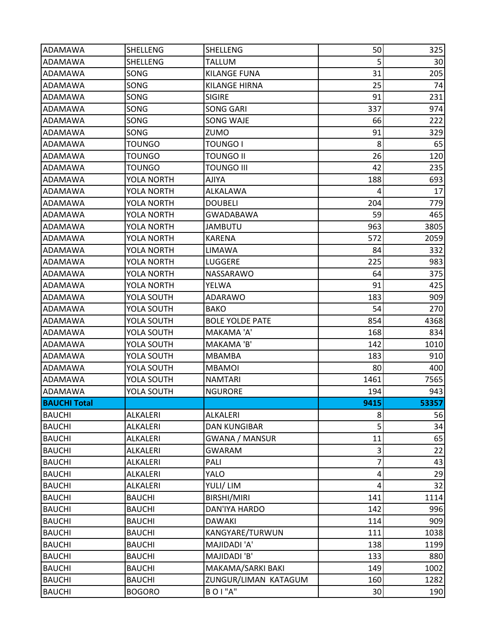| ADAMAWA             | SHELLENG          | SHELLENG               | 50                      | 325   |
|---------------------|-------------------|------------------------|-------------------------|-------|
| ADAMAWA             | SHELLENG          | <b>TALLUM</b>          | 5                       | 30    |
| ADAMAWA             | SONG              | <b>KILANGE FUNA</b>    | 31                      | 205   |
| <b>ADAMAWA</b>      | SONG              | <b>KILANGE HIRNA</b>   | 25                      | 74    |
| ADAMAWA             | SONG              | <b>SIGIRE</b>          | 91                      | 231   |
| ADAMAWA             | SONG              | <b>SONG GARI</b>       | 337                     | 974   |
| ADAMAWA             | SONG              | SONG WAJE              | 66                      | 222   |
| ADAMAWA             | SONG              | ZUMO                   | 91                      | 329   |
| ADAMAWA             | <b>TOUNGO</b>     | <b>TOUNGO I</b>        | 8                       | 65    |
| ADAMAWA             | TOUNGO            | <b>TOUNGO II</b>       | 26                      | 120   |
| ADAMAWA             | <b>TOUNGO</b>     | <b>TOUNGO III</b>      | 42                      | 235   |
| ADAMAWA             | YOLA NORTH        | AJIYA                  | 188                     | 693   |
| ADAMAWA             | <b>YOLA NORTH</b> | ALKALAWA               | 4                       | 17    |
| ADAMAWA             | YOLA NORTH        | <b>DOUBELI</b>         | 204                     | 779   |
| ADAMAWA             | YOLA NORTH        | <b>GWADABAWA</b>       | 59                      | 465   |
| <b>ADAMAWA</b>      | <b>YOLA NORTH</b> | <b>JAMBUTU</b>         | 963                     | 3805  |
| ADAMAWA             | <b>YOLA NORTH</b> | <b>KARENA</b>          | 572                     | 2059  |
| <b>ADAMAWA</b>      | <b>YOLA NORTH</b> | LIMAWA                 | 84                      | 332   |
| ADAMAWA             | YOLA NORTH        | LUGGERE                | 225                     | 983   |
| ADAMAWA             | YOLA NORTH        | NASSARAWO              | 64                      | 375   |
| <b>ADAMAWA</b>      | YOLA NORTH        | YELWA                  | 91                      | 425   |
| ADAMAWA             | YOLA SOUTH        | ADARAWO                | 183                     | 909   |
| <b>ADAMAWA</b>      | YOLA SOUTH        | <b>BAKO</b>            | 54                      | 270   |
| ADAMAWA             | YOLA SOUTH        | <b>BOLE YOLDE PATE</b> | 854                     | 4368  |
| ADAMAWA             | YOLA SOUTH        | MAKAMA 'A'             | 168                     | 834   |
| ADAMAWA             | YOLA SOUTH        | MAKAMA 'B'             | 142                     | 1010  |
| ADAMAWA             | YOLA SOUTH        | MBAMBA                 | 183                     | 910   |
| <b>ADAMAWA</b>      | YOLA SOUTH        | <b>MBAMOI</b>          | 80                      | 400   |
| ADAMAWA             | YOLA SOUTH        | <b>NAMTARI</b>         | 1461                    | 7565  |
| <b>ADAMAWA</b>      | YOLA SOUTH        | <b>NGURORE</b>         | 194                     | 943   |
| <b>BAUCHI Total</b> |                   |                        | 9415                    | 53357 |
| <b>BAUCHI</b>       | <b>ALKALERI</b>   | ALKALERI               | 8                       | 56    |
| <b>BAUCHI</b>       | ALKALERI          | <b>DAN KUNGIBAR</b>    | 5                       | 34    |
| <b>BAUCHI</b>       | ALKALERI          | <b>GWANA / MANSUR</b>  | 11                      | 65    |
| <b>BAUCHI</b>       | ALKALERI          | <b>GWARAM</b>          | $\mathsf 3$             | 22    |
| <b>BAUCHI</b>       | ALKALERI          | PALI                   | 7                       | 43    |
| <b>BAUCHI</b>       | ALKALERI          | YALO                   | 4                       | 29    |
| <b>BAUCHI</b>       | ALKALERI          | YULI/LIM               | $\overline{\mathbf{4}}$ | 32    |
| <b>BAUCHI</b>       | <b>BAUCHI</b>     | BIRSHI/MIRI            | 141                     | 1114  |
| <b>BAUCHI</b>       | <b>BAUCHI</b>     | <b>DAN'IYA HARDO</b>   | 142                     | 996   |
| <b>BAUCHI</b>       | <b>BAUCHI</b>     | <b>DAWAKI</b>          | 114                     | 909   |
| <b>BAUCHI</b>       | <b>BAUCHI</b>     | KANGYARE/TURWUN        | 111                     | 1038  |
| <b>BAUCHI</b>       | <b>BAUCHI</b>     | MAJIDADI 'A'           | 138                     | 1199  |
| <b>BAUCHI</b>       | <b>BAUCHI</b>     | MAJIDADI 'B'           | 133                     | 880   |
| <b>BAUCHI</b>       | <b>BAUCHI</b>     | MAKAMA/SARKI BAKI      | 149                     | 1002  |
| <b>BAUCHI</b>       | <b>BAUCHI</b>     | ZUNGUR/LIMAN KATAGUM   | 160                     | 1282  |
| <b>BAUCHI</b>       | <b>BOGORO</b>     | <b>BOI"A"</b>          | 30 <sup>°</sup>         | 190   |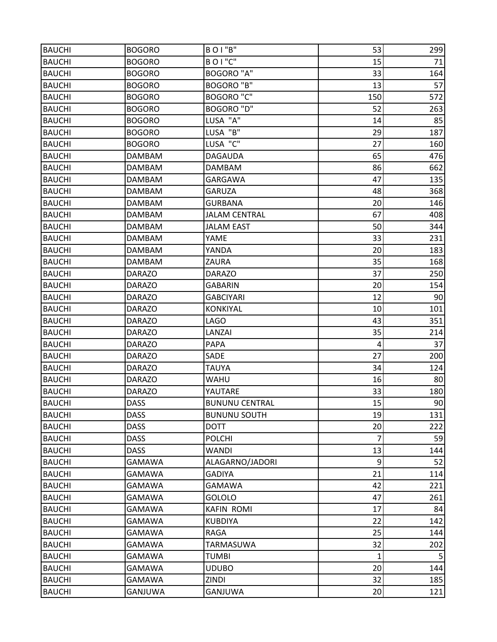| <b>BAUCHI</b> | <b>BOGORO</b> | BOI"B"                | 53           | 299 |
|---------------|---------------|-----------------------|--------------|-----|
| <b>BAUCHI</b> | <b>BOGORO</b> | <b>BOI"C"</b>         | 15           | 71  |
| <b>BAUCHI</b> | <b>BOGORO</b> | <b>BOGORO "A"</b>     | 33           | 164 |
| <b>BAUCHI</b> | <b>BOGORO</b> | <b>BOGORO "B"</b>     | 13           | 57  |
| <b>BAUCHI</b> | <b>BOGORO</b> | <b>BOGORO "C"</b>     | 150          | 572 |
| <b>BAUCHI</b> | <b>BOGORO</b> | BOGORO "D"            | 52           | 263 |
| <b>BAUCHI</b> | <b>BOGORO</b> | LUSA "A"              | 14           | 85  |
| <b>BAUCHI</b> | <b>BOGORO</b> | LUSA "B"              | 29           | 187 |
| <b>BAUCHI</b> | <b>BOGORO</b> | LUSA "C"              | 27           | 160 |
| <b>BAUCHI</b> | <b>DAMBAM</b> | <b>DAGAUDA</b>        | 65           | 476 |
| <b>BAUCHI</b> | <b>DAMBAM</b> | <b>DAMBAM</b>         | 86           | 662 |
| <b>BAUCHI</b> | DAMBAM        | <b>GARGAWA</b>        | 47           | 135 |
| <b>BAUCHI</b> | <b>DAMBAM</b> | <b>GARUZA</b>         | 48           | 368 |
| <b>BAUCHI</b> | <b>DAMBAM</b> | <b>GURBANA</b>        | 20           | 146 |
| <b>BAUCHI</b> | <b>DAMBAM</b> | <b>JALAM CENTRAL</b>  | 67           | 408 |
| <b>BAUCHI</b> | <b>DAMBAM</b> | <b>JALAM EAST</b>     | 50           | 344 |
| <b>BAUCHI</b> | DAMBAM        | YAME                  | 33           | 231 |
| <b>BAUCHI</b> | <b>DAMBAM</b> | YANDA                 | 20           | 183 |
| <b>BAUCHI</b> | <b>DAMBAM</b> | ZAURA                 | 35           | 168 |
| <b>BAUCHI</b> | <b>DARAZO</b> | <b>DARAZO</b>         | 37           | 250 |
| <b>BAUCHI</b> | <b>DARAZO</b> | <b>GABARIN</b>        | 20           | 154 |
| <b>BAUCHI</b> | <b>DARAZO</b> | <b>GABCIYARI</b>      | 12           | 90  |
| <b>BAUCHI</b> | <b>DARAZO</b> | <b>KONKIYAL</b>       | 10           | 101 |
| <b>BAUCHI</b> | <b>DARAZO</b> | <b>LAGO</b>           | 43           | 351 |
| <b>BAUCHI</b> | <b>DARAZO</b> | LANZAI                | 35           | 214 |
| <b>BAUCHI</b> | <b>DARAZO</b> | <b>PAPA</b>           | 4            | 37  |
| <b>BAUCHI</b> | <b>DARAZO</b> | SADE                  | 27           | 200 |
| <b>BAUCHI</b> | <b>DARAZO</b> | <b>TAUYA</b>          | 34           | 124 |
| <b>BAUCHI</b> | <b>DARAZO</b> | WAHU                  | 16           | 80  |
| <b>BAUCHI</b> | <b>DARAZO</b> | YAUTARE               | 33           | 180 |
| <b>BAUCHI</b> | <b>DASS</b>   | <b>BUNUNU CENTRAL</b> | 15           | 90  |
| <b>BAUCHI</b> | <b>DASS</b>   | <b>BUNUNU SOUTH</b>   | 19           | 131 |
| <b>BAUCHI</b> | <b>DASS</b>   | <b>DOTT</b>           | 20           | 222 |
| <b>BAUCHI</b> | <b>DASS</b>   | <b>POLCHI</b>         | 7            | 59  |
| <b>BAUCHI</b> | <b>DASS</b>   | <b>WANDI</b>          | 13           | 144 |
| <b>BAUCHI</b> | <b>GAMAWA</b> | ALAGARNO/JADORI       | 9            | 52  |
| <b>BAUCHI</b> | <b>GAMAWA</b> | <b>GADIYA</b>         | 21           | 114 |
| <b>BAUCHI</b> | <b>GAMAWA</b> | <b>GAMAWA</b>         | 42           | 221 |
| <b>BAUCHI</b> | <b>GAMAWA</b> | GOLOLO                | 47           | 261 |
| <b>BAUCHI</b> | <b>GAMAWA</b> | <b>KAFIN ROMI</b>     | 17           | 84  |
| <b>BAUCHI</b> | <b>GAMAWA</b> | <b>KUBDIYA</b>        | 22           | 142 |
| <b>BAUCHI</b> | <b>GAMAWA</b> | <b>RAGA</b>           | 25           | 144 |
| <b>BAUCHI</b> | <b>GAMAWA</b> | <b>TARMASUWA</b>      | 32           | 202 |
| <b>BAUCHI</b> | <b>GAMAWA</b> | <b>TUMBI</b>          | $\mathbf{1}$ | 5   |
| <b>BAUCHI</b> | <b>GAMAWA</b> | <b>UDUBO</b>          | 20           | 144 |
| <b>BAUCHI</b> | GAMAWA        | ZINDI                 | 32           | 185 |
| <b>BAUCHI</b> | GANJUWA       | GANJUWA               | 20           | 121 |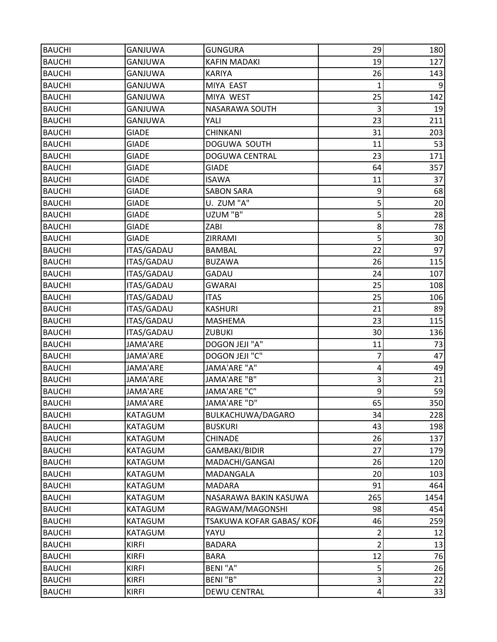| <b>BAUCHI</b> | <b>GANJUWA</b>    | <b>GUNGURA</b>          | 29             | 180            |
|---------------|-------------------|-------------------------|----------------|----------------|
| <b>BAUCHI</b> | <b>GANJUWA</b>    | <b>KAFIN MADAKI</b>     | 19             | 127            |
| <b>BAUCHI</b> | <b>GANJUWA</b>    | <b>KARIYA</b>           | 26             | 143            |
| <b>BAUCHI</b> | <b>GANJUWA</b>    | MIYA EAST               | $\mathbf{1}$   | $\overline{9}$ |
| <b>BAUCHI</b> | GANJUWA           | MIYA WEST               | 25             | 142            |
| <b>BAUCHI</b> | <b>GANJUWA</b>    | NASARAWA SOUTH          | 3              | 19             |
| <b>BAUCHI</b> | GANJUWA           | YALI                    | 23             | 211            |
| <b>BAUCHI</b> | <b>GIADE</b>      | <b>CHINKANI</b>         | 31             | 203            |
| <b>BAUCHI</b> | <b>GIADE</b>      | DOGUWA SOUTH            | 11             | 53             |
| <b>BAUCHI</b> | <b>GIADE</b>      | DOGUWA CENTRAL          | 23             | 171            |
| <b>BAUCHI</b> | <b>GIADE</b>      | <b>GIADE</b>            | 64             | 357            |
| <b>BAUCHI</b> | <b>GIADE</b>      | <b>ISAWA</b>            | 11             | 37             |
| <b>BAUCHI</b> | <b>GIADE</b>      | <b>SABON SARA</b>       | 9              | 68             |
| <b>BAUCHI</b> | <b>GIADE</b>      | U. ZUM "A"              | 5              | 20             |
| <b>BAUCHI</b> | <b>GIADE</b>      | UZUM "B"                | 5              | 28             |
| <b>BAUCHI</b> | <b>GIADE</b>      | ZABI                    | 8              | 78             |
| <b>BAUCHI</b> | <b>GIADE</b>      | ZIRRAMI                 | 5              | 30             |
| <b>BAUCHI</b> | <b>ITAS/GADAU</b> | <b>BAMBAL</b>           | 22             | 97             |
| <b>BAUCHI</b> | ITAS/GADAU        | <b>BUZAWA</b>           | 26             | 115            |
| <b>BAUCHI</b> | <b>ITAS/GADAU</b> | GADAU                   | 24             | 107            |
| <b>BAUCHI</b> | ITAS/GADAU        | <b>GWARAI</b>           | 25             | 108            |
| <b>BAUCHI</b> | ITAS/GADAU        | <b>ITAS</b>             | 25             | 106            |
| <b>BAUCHI</b> | ITAS/GADAU        | <b>KASHURI</b>          | 21             | 89             |
| <b>BAUCHI</b> | ITAS/GADAU        | MASHEMA                 | 23             | 115            |
| <b>BAUCHI</b> | <b>ITAS/GADAU</b> | ZUBUKI                  | 30             | 136            |
| <b>BAUCHI</b> | JAMA'ARE          | DOGON JEJI "A"          | 11             | 73             |
| <b>BAUCHI</b> | JAMA'ARE          | DOGON JEJI "C"          | 7              | 47             |
| <b>BAUCHI</b> | <b>JAMA'ARE</b>   | JAMA'ARE "A"            | $\overline{4}$ | 49             |
| <b>BAUCHI</b> | JAMA'ARE          | JAMA'ARE "B"            | 3              | 21             |
| <b>BAUCHI</b> | JAMA'ARE          | JAMA'ARE "C"            | 9              | 59             |
| <b>BAUCHI</b> | <b>JAMA'ARE</b>   | JAMA'ARE "D"            | 65             | 350            |
| <b>BAUCHI</b> | <b>KATAGUM</b>    | BULKACHUWA/DAGARO       | 34             | 228            |
| <b>BAUCHI</b> | KATAGUM           | <b>BUSKURI</b>          | 43             | 198            |
| <b>BAUCHI</b> | KATAGUM           | <b>CHINADE</b>          | 26             | 137            |
| <b>BAUCHI</b> | KATAGUM           | GAMBAKI/BIDIR           | 27             | 179            |
| <b>BAUCHI</b> | KATAGUM           | MADACHI/GANGAI          | 26             | 120            |
| <b>BAUCHI</b> | KATAGUM           | <b>MADANGALA</b>        | 20             | 103            |
| <b>BAUCHI</b> | KATAGUM           | <b>MADARA</b>           | 91             | 464            |
| <b>BAUCHI</b> | KATAGUM           | NASARAWA BAKIN KASUWA   | 265            | 1454           |
| <b>BAUCHI</b> | KATAGUM           | RAGWAM/MAGONSHI         | 98             | 454            |
| <b>BAUCHI</b> | KATAGUM           | TSAKUWA KOFAR GABAS/KOF | 46             | 259            |
| <b>BAUCHI</b> | KATAGUM           | YAYU                    | $\overline{2}$ | 12             |
| <b>BAUCHI</b> | <b>KIRFI</b>      | <b>BADARA</b>           | $\overline{2}$ | 13             |
| <b>BAUCHI</b> | <b>KIRFI</b>      | <b>BARA</b>             | 12             | 76             |
| <b>BAUCHI</b> | <b>KIRFI</b>      | <b>BENI "A"</b>         | 5              | 26             |
| <b>BAUCHI</b> | <b>KIRFI</b>      | BENI "B"                | $\mathsf 3$    | 22             |
| <b>BAUCHI</b> | <b>KIRFI</b>      | <b>DEWU CENTRAL</b>     | $\sqrt{4}$     | 33             |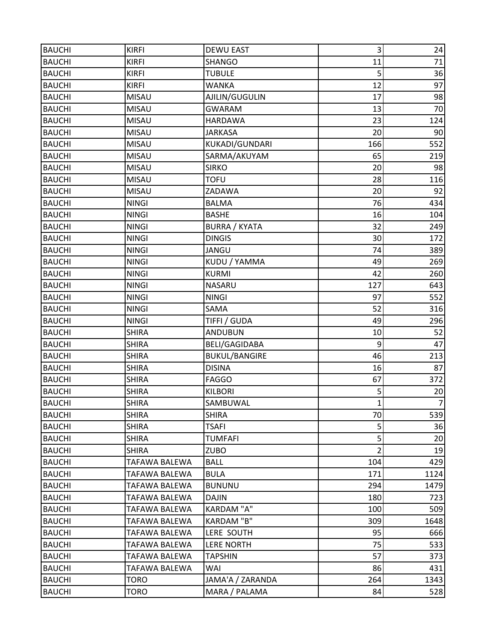| <b>BAUCHI</b> | <b>KIRFI</b>         | <b>DEWU EAST</b>     | 3                       | 24             |
|---------------|----------------------|----------------------|-------------------------|----------------|
| <b>BAUCHI</b> | <b>KIRFI</b>         | <b>SHANGO</b>        | 11                      | 71             |
| <b>BAUCHI</b> | <b>KIRFI</b>         | <b>TUBULE</b>        | 5                       | 36             |
| <b>BAUCHI</b> | <b>KIRFI</b>         | <b>WANKA</b>         | 12                      | 97             |
| <b>BAUCHI</b> | MISAU                | AJILIN/GUGULIN       | 17                      | 98             |
| <b>BAUCHI</b> | <b>MISAU</b>         | <b>GWARAM</b>        | 13                      | 70             |
| <b>BAUCHI</b> | MISAU                | <b>HARDAWA</b>       | 23                      | 124            |
| <b>BAUCHI</b> | <b>MISAU</b>         | <b>JARKASA</b>       | 20                      | 90             |
| <b>BAUCHI</b> | MISAU                | KUKADI/GUNDARI       | 166                     | 552            |
| <b>BAUCHI</b> | MISAU                | SARMA/AKUYAM         | 65                      | 219            |
| <b>BAUCHI</b> | <b>MISAU</b>         | <b>SIRKO</b>         | 20                      | 98             |
| <b>BAUCHI</b> | <b>MISAU</b>         | <b>TOFU</b>          | 28                      | 116            |
| <b>BAUCHI</b> | <b>MISAU</b>         | ZADAWA               | 20                      | 92             |
| <b>BAUCHI</b> | <b>NINGI</b>         | <b>BALMA</b>         | 76                      | 434            |
| <b>BAUCHI</b> | <b>NINGI</b>         | <b>BASHE</b>         | 16                      | 104            |
| <b>BAUCHI</b> | <b>NINGI</b>         | <b>BURRA / KYATA</b> | 32                      | 249            |
| <b>BAUCHI</b> | <b>NINGI</b>         | <b>DINGIS</b>        | 30                      | 172            |
| <b>BAUCHI</b> | <b>NINGI</b>         | JANGU                | 74                      | 389            |
| <b>BAUCHI</b> | <b>NINGI</b>         | KUDU / YAMMA         | 49                      | 269            |
| <b>BAUCHI</b> | <b>NINGI</b>         | <b>KURMI</b>         | 42                      | 260            |
| <b>BAUCHI</b> | <b>NINGI</b>         | <b>NASARU</b>        | 127                     | 643            |
| <b>BAUCHI</b> | <b>NINGI</b>         | <b>NINGI</b>         | 97                      | 552            |
| <b>BAUCHI</b> | <b>NINGI</b>         | SAMA                 | 52                      | 316            |
| <b>BAUCHI</b> | <b>NINGI</b>         | TIFFI / GUDA         | 49                      | 296            |
| <b>BAUCHI</b> | <b>SHIRA</b>         | <b>ANDUBUN</b>       | 10                      | 52             |
| <b>BAUCHI</b> | <b>SHIRA</b>         | <b>BELI/GAGIDABA</b> | 9                       | 47             |
| <b>BAUCHI</b> | <b>SHIRA</b>         | <b>BUKUL/BANGIRE</b> | 46                      | 213            |
| <b>BAUCHI</b> | <b>SHIRA</b>         | <b>DISINA</b>        | 16                      | 87             |
| <b>BAUCHI</b> | <b>SHIRA</b>         | <b>FAGGO</b>         | 67                      | 372            |
| <b>BAUCHI</b> | <b>SHIRA</b>         | <b>KILBORI</b>       | 5                       | 20             |
| <b>BAUCHI</b> | <b>SHIRA</b>         | SAMBUWAL             | $\mathbf{1}$            | $\overline{7}$ |
| <b>BAUCHI</b> | <b>SHIRA</b>         | <b>SHIRA</b>         | 70                      | 539            |
| <b>BAUCHI</b> | <b>SHIRA</b>         | <b>TSAFI</b>         | 5                       | 36             |
| <b>BAUCHI</b> | <b>SHIRA</b>         | <b>TUMFAFI</b>       | $\overline{\mathbf{5}}$ | 20             |
| <b>BAUCHI</b> | <b>SHIRA</b>         | <b>ZUBO</b>          | $\overline{2}$          | 19             |
| <b>BAUCHI</b> | TAFAWA BALEWA        | <b>BALL</b>          | 104                     | 429            |
| <b>BAUCHI</b> | <b>TAFAWA BALEWA</b> | <b>BULA</b>          | 171                     | 1124           |
| <b>BAUCHI</b> | TAFAWA BALEWA        | <b>BUNUNU</b>        | 294                     | 1479           |
| <b>BAUCHI</b> | TAFAWA BALEWA        | DAJIN                | 180                     | 723            |
| <b>BAUCHI</b> | TAFAWA BALEWA        | <b>KARDAM "A"</b>    | 100                     | 509            |
| <b>BAUCHI</b> | TAFAWA BALEWA        | KARDAM "B"           | 309                     | 1648           |
| <b>BAUCHI</b> | TAFAWA BALEWA        | LERE SOUTH           | 95                      | 666            |
| <b>BAUCHI</b> | TAFAWA BALEWA        | <b>LERE NORTH</b>    | 75                      | 533            |
| <b>BAUCHI</b> | TAFAWA BALEWA        | <b>TAPSHIN</b>       | 57                      | 373            |
| <b>BAUCHI</b> | TAFAWA BALEWA        | WAI                  | 86                      | 431            |
| <b>BAUCHI</b> | TORO                 | JAMA'A / ZARANDA     | 264                     | 1343           |
| <b>BAUCHI</b> | <b>TORO</b>          | MARA / PALAMA        | 84                      | 528            |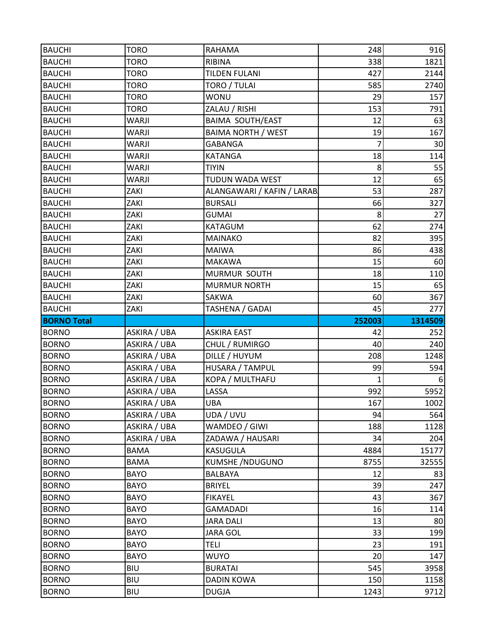| <b>BAUCHI</b>                | <b>TORO</b>              | RAHAMA                            | 248            | 916          |
|------------------------------|--------------------------|-----------------------------------|----------------|--------------|
| <b>BAUCHI</b>                | <b>TORO</b>              | RIBINA                            | 338            | 1821         |
| <b>BAUCHI</b>                | <b>TORO</b>              | <b>TILDEN FULANI</b>              | 427            | 2144         |
| <b>BAUCHI</b>                | <b>TORO</b>              | TORO / TULAI                      | 585            | 2740         |
| <b>BAUCHI</b>                | <b>TORO</b>              | <b>WONU</b>                       | 29             | 157          |
| <b>BAUCHI</b>                | <b>TORO</b>              | ZALAU / RISHI                     | 153            | 791          |
| <b>BAUCHI</b>                | <b>WARJI</b>             | <b>BAIMA SOUTH/EAST</b>           | 12             | 63           |
| <b>BAUCHI</b>                | WARJI                    | <b>BAIMA NORTH / WEST</b>         | 19             | 167          |
| <b>BAUCHI</b>                | <b>WARJI</b>             | <b>GABANGA</b>                    | $\overline{7}$ | 30           |
| <b>BAUCHI</b>                | <b>WARJI</b>             | <b>KATANGA</b>                    | 18             | 114          |
| <b>BAUCHI</b>                | <b>WARJI</b>             | <b>TIYIN</b>                      | 8              | 55           |
| <b>BAUCHI</b>                | <b>WARJI</b>             | TUDUN WADA WEST                   | 12             | 65           |
| <b>BAUCHI</b>                | ZAKI                     | ALANGAWARI / KAFIN / LARAB        | 53             | 287          |
| <b>BAUCHI</b>                | ZAKI                     | <b>BURSALI</b>                    | 66             | 327          |
| <b>BAUCHI</b>                | ZAKI                     | <b>GUMAI</b>                      | 8              | 27           |
| <b>BAUCHI</b>                | ZAKI                     | KATAGUM                           | 62             | 274          |
| <b>BAUCHI</b>                | ZAKI                     | <b>MAINAKO</b>                    | 82             | 395          |
| <b>BAUCHI</b>                | ZAKI                     | <b>MAIWA</b>                      | 86             | 438          |
| <b>BAUCHI</b>                | ZAKI                     | <b>MAKAWA</b>                     | 15             | 60           |
| <b>BAUCHI</b>                | ZAKI                     | MURMUR SOUTH                      | 18             | 110          |
| <b>BAUCHI</b>                | ZAKI                     | <b>MURMUR NORTH</b>               | 15             | 65           |
| <b>BAUCHI</b>                | ZAKI                     | SAKWA                             | 60             | 367          |
| <b>BAUCHI</b>                | ZAKI                     | TASHENA / GADAI                   | 45             | 277          |
|                              |                          |                                   |                |              |
| <b>BORNO Total</b>           |                          |                                   | 252003         | 1314509      |
| <b>BORNO</b>                 | ASKIRA / UBA             | <b>ASKIRA EAST</b>                | 42             | 252          |
| <b>BORNO</b>                 | ASKIRA / UBA             | CHUL / RUMIRGO                    | 40             | 240          |
| <b>BORNO</b>                 | ASKIRA / UBA             | DILLE / HUYUM                     | 208            | 1248         |
| <b>BORNO</b>                 | ASKIRA / UBA             | HUSARA / TAMPUL                   | 99             | 594          |
| <b>BORNO</b>                 | ASKIRA / UBA             | KOPA / MULTHAFU                   | 1              |              |
| <b>BORNO</b>                 | ASKIRA / UBA             | LASSA                             | 992            | 5952         |
| <b>BORNO</b>                 | ASKIRA / UBA             | <b>UBA</b>                        | 167            | 1002         |
| <b>BORNO</b>                 | ASKIRA / UBA             | UDA / UVU                         | 94             | 564          |
| <b>BORNO</b>                 | ASKIRA / UBA             | WAMDEO / GIWI                     | 188            | 1128         |
| <b>BORNO</b>                 | ASKIRA / UBA             | ZADAWA / HAUSARI                  | 34             | 204          |
| <b>BORNO</b>                 | <b>BAMA</b>              | KASUGULA                          | 4884           | 15177        |
| <b>BORNO</b>                 | <b>BAMA</b>              | <b>KUMSHE /NDUGUNO</b>            | 8755           | 32555        |
| <b>BORNO</b>                 | <b>BAYO</b>              | BALBAYA                           | 12             | 83           |
| <b>BORNO</b>                 | <b>BAYO</b>              | <b>BRIYEL</b>                     | 39             | 247          |
| <b>BORNO</b>                 | <b>BAYO</b>              | <b>FIKAYEL</b>                    | 43             | 367          |
| <b>BORNO</b>                 | <b>BAYO</b>              | <b>GAMADADI</b>                   | 16             | 114          |
| <b>BORNO</b>                 | <b>BAYO</b>              | <b>JARA DALI</b>                  | 13             | 80           |
| <b>BORNO</b>                 | <b>BAYO</b>              | <b>JARA GOL</b>                   | 33             | 199          |
| <b>BORNO</b>                 | <b>BAYO</b>              | <b>TELI</b>                       | 23             | 191          |
| <b>BORNO</b>                 | <b>BAYO</b>              | <b>WUYO</b>                       | 20             | 147          |
| <b>BORNO</b>                 | <b>BIU</b>               | <b>BURATAI</b>                    | 545            | 3958         |
| <b>BORNO</b><br><b>BORNO</b> | <b>BIU</b><br><b>BIU</b> | <b>DADIN KOWA</b><br><b>DUGJA</b> | 150<br>1243    | 1158<br>9712 |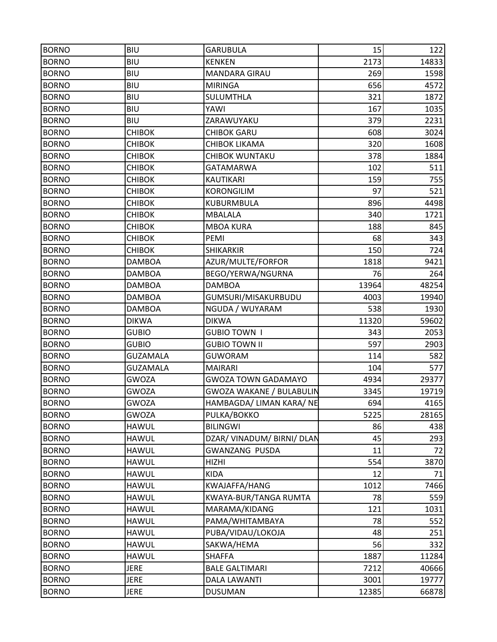| <b>BORNO</b> | <b>BIU</b>      | <b>GARUBULA</b>                 | 15    | 122   |
|--------------|-----------------|---------------------------------|-------|-------|
| <b>BORNO</b> | <b>BIU</b>      | <b>KENKEN</b>                   | 2173  | 14833 |
| <b>BORNO</b> | <b>BIU</b>      | MANDARA GIRAU                   | 269   | 1598  |
| <b>BORNO</b> | <b>BIU</b>      | <b>MIRINGA</b>                  | 656   | 4572  |
| <b>BORNO</b> | <b>BIU</b>      | SULUMTHLA                       | 321   | 1872  |
| <b>BORNO</b> | <b>BIU</b>      | YAWI                            | 167   | 1035  |
| <b>BORNO</b> | <b>BIU</b>      | ZARAWUYAKU                      | 379   | 2231  |
| <b>BORNO</b> | <b>CHIBOK</b>   | <b>CHIBOK GARU</b>              | 608   | 3024  |
| <b>BORNO</b> | <b>CHIBOK</b>   | <b>CHIBOK LIKAMA</b>            | 320   | 1608  |
| <b>BORNO</b> | <b>CHIBOK</b>   | <b>CHIBOK WUNTAKU</b>           | 378   | 1884  |
| <b>BORNO</b> | <b>CHIBOK</b>   | <b>GATAMARWA</b>                | 102   | 511   |
| <b>BORNO</b> | <b>CHIBOK</b>   | <b>KAUTIKARI</b>                | 159   | 755   |
| <b>BORNO</b> | <b>CHIBOK</b>   | <b>KORONGILIM</b>               | 97    | 521   |
| <b>BORNO</b> | <b>CHIBOK</b>   | <b>KUBURMBULA</b>               | 896   | 4498  |
| <b>BORNO</b> | <b>CHIBOK</b>   | <b>MBALALA</b>                  | 340   | 1721  |
| <b>BORNO</b> | <b>CHIBOK</b>   | <b>MBOA KURA</b>                | 188   | 845   |
| <b>BORNO</b> | <b>CHIBOK</b>   | PEMI                            | 68    | 343   |
| <b>BORNO</b> | <b>CHIBOK</b>   | <b>SHIKARKIR</b>                | 150   | 724   |
| <b>BORNO</b> | <b>DAMBOA</b>   | AZUR/MULTE/FORFOR               | 1818  | 9421  |
| <b>BORNO</b> | <b>DAMBOA</b>   | BEGO/YERWA/NGURNA               | 76    | 264   |
| <b>BORNO</b> | <b>DAMBOA</b>   | <b>DAMBOA</b>                   | 13964 | 48254 |
| <b>BORNO</b> | <b>DAMBOA</b>   | GUMSURI/MISAKURBUDU             | 4003  | 19940 |
| <b>BORNO</b> | <b>DAMBOA</b>   | NGUDA / WUYARAM                 | 538   | 1930  |
| <b>BORNO</b> | <b>DIKWA</b>    | <b>DIKWA</b>                    | 11320 | 59602 |
| <b>BORNO</b> | <b>GUBIO</b>    | <b>GUBIO TOWN I</b>             | 343   | 2053  |
| <b>BORNO</b> | <b>GUBIO</b>    | <b>GUBIO TOWN II</b>            | 597   | 2903  |
| <b>BORNO</b> | <b>GUZAMALA</b> | <b>GUWORAM</b>                  | 114   | 582   |
| <b>BORNO</b> | <b>GUZAMALA</b> | <b>MAIRARI</b>                  | 104   | 577   |
| <b>BORNO</b> | <b>GWOZA</b>    | <b>GWOZA TOWN GADAMAYO</b>      | 4934  | 29377 |
| <b>BORNO</b> | <b>GWOZA</b>    | <b>GWOZA WAKANE / BULABULIN</b> | 3345  | 19719 |
| <b>BORNO</b> | <b>GWOZA</b>    | HAMBAGDA/ LIMAN KARA/ NE        | 694   | 4165  |
| <b>BORNO</b> | <b>GWOZA</b>    | PULKA/BOKKO                     | 5225  | 28165 |
| <b>BORNO</b> | <b>HAWUL</b>    | <b>BILINGWI</b>                 | 86    | 438   |
| <b>BORNO</b> | <b>HAWUL</b>    | DZAR/ VINADUM/ BIRNI/ DLAN      | 45    | 293   |
| <b>BORNO</b> | <b>HAWUL</b>    | <b>GWANZANG PUSDA</b>           | 11    | 72    |
| <b>BORNO</b> | <b>HAWUL</b>    | <b>HIZHI</b>                    | 554   | 3870  |
| <b>BORNO</b> | <b>HAWUL</b>    | KIDA                            | 12    | 71    |
| <b>BORNO</b> | <b>HAWUL</b>    | KWAJAFFA/HANG                   | 1012  | 7466  |
| <b>BORNO</b> | <b>HAWUL</b>    | KWAYA-BUR/TANGA RUMTA           | 78    | 559   |
| <b>BORNO</b> | <b>HAWUL</b>    | MARAMA/KIDANG                   | 121   | 1031  |
| <b>BORNO</b> | <b>HAWUL</b>    | PAMA/WHITAMBAYA                 | 78    | 552   |
| <b>BORNO</b> | <b>HAWUL</b>    | PUBA/VIDAU/LOKOJA               | 48    | 251   |
| <b>BORNO</b> | <b>HAWUL</b>    | SAKWA/HEMA                      | 56    | 332   |
| <b>BORNO</b> | <b>HAWUL</b>    | <b>SHAFFA</b>                   | 1887  | 11284 |
| <b>BORNO</b> | <b>JERE</b>     | <b>BALE GALTIMARI</b>           | 7212  | 40666 |
| <b>BORNO</b> | <b>JERE</b>     | <b>DALA LAWANTI</b>             | 3001  | 19777 |
| <b>BORNO</b> | <b>JERE</b>     | <b>DUSUMAN</b>                  | 12385 | 66878 |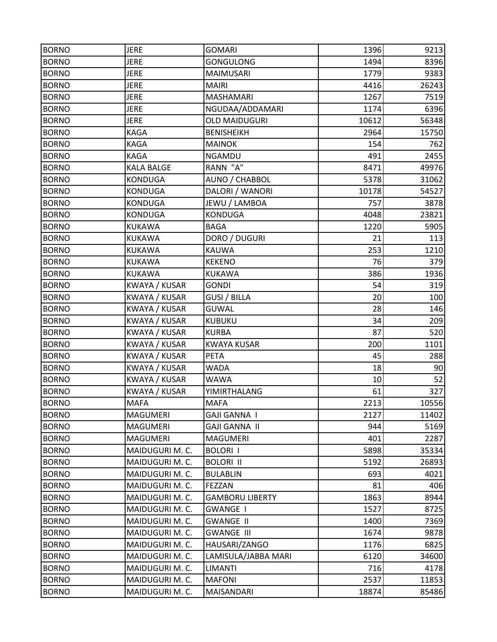| <b>BORNO</b> | <b>JERE</b>       | <b>GOMARI</b>          | 1396  | 9213  |
|--------------|-------------------|------------------------|-------|-------|
| <b>BORNO</b> | <b>JERE</b>       | <b>GONGULONG</b>       | 1494  | 8396  |
| <b>BORNO</b> | <b>JERE</b>       | <b>MAIMUSARI</b>       | 1779  | 9383  |
| <b>BORNO</b> | <b>JERE</b>       | <b>MAIRI</b>           | 4416  | 26243 |
| <b>BORNO</b> | <b>JERE</b>       | <b>MASHAMARI</b>       | 1267  | 7519  |
| <b>BORNO</b> | <b>JERE</b>       | NGUDAA/ADDAMARI        | 1174  | 6396  |
| <b>BORNO</b> | <b>JERE</b>       | <b>OLD MAIDUGURI</b>   | 10612 | 56348 |
| <b>BORNO</b> | <b>KAGA</b>       | <b>BENISHEIKH</b>      | 2964  | 15750 |
| <b>BORNO</b> | <b>KAGA</b>       | <b>MAINOK</b>          | 154   | 762   |
| <b>BORNO</b> | KAGA              | NGAMDU                 | 491   | 2455  |
| <b>BORNO</b> | <b>KALA BALGE</b> | RANN "A"               | 8471  | 49976 |
| <b>BORNO</b> | <b>KONDUGA</b>    | AUNO / CHABBOL         | 5378  | 31062 |
| <b>BORNO</b> | <b>KONDUGA</b>    | DALORI / WANORI        | 10178 | 54527 |
| <b>BORNO</b> | <b>KONDUGA</b>    | JEWU / LAMBOA          | 757   | 3878  |
| <b>BORNO</b> | <b>KONDUGA</b>    | <b>KONDUGA</b>         | 4048  | 23821 |
| <b>BORNO</b> | <b>KUKAWA</b>     | <b>BAGA</b>            | 1220  | 5905  |
| <b>BORNO</b> | <b>KUKAWA</b>     | DORO / DUGURI          | 21    | 113   |
| <b>BORNO</b> | <b>KUKAWA</b>     | <b>KAUWA</b>           | 253   | 1210  |
| <b>BORNO</b> | <b>KUKAWA</b>     | <b>KEKENO</b>          | 76    | 379   |
| <b>BORNO</b> | <b>KUKAWA</b>     | <b>KUKAWA</b>          | 386   | 1936  |
| <b>BORNO</b> | KWAYA / KUSAR     | <b>GONDI</b>           | 54    | 319   |
| <b>BORNO</b> | KWAYA / KUSAR     | <b>GUSI / BILLA</b>    | 20    | 100   |
| <b>BORNO</b> | KWAYA / KUSAR     | <b>GUWAL</b>           | 28    | 146   |
| <b>BORNO</b> | KWAYA / KUSAR     | <b>KUBUKU</b>          | 34    | 209   |
| <b>BORNO</b> | KWAYA / KUSAR     | <b>KURBA</b>           | 87    | 520   |
| <b>BORNO</b> | KWAYA / KUSAR     | <b>KWAYA KUSAR</b>     | 200   | 1101  |
| <b>BORNO</b> | KWAYA / KUSAR     | PETA                   | 45    | 288   |
| <b>BORNO</b> | KWAYA / KUSAR     | WADA                   | 18    | 90    |
| <b>BORNO</b> | KWAYA / KUSAR     | <b>WAWA</b>            | 10    | 52    |
| <b>BORNO</b> | KWAYA / KUSAR     | YIMIRTHALANG           | 61    | 327   |
| <b>BORNO</b> | <b>MAFA</b>       | <b>MAFA</b>            | 2213  | 10556 |
| <b>BORNO</b> | <b>MAGUMERI</b>   | <b>GAJI GANNA I</b>    | 2127  | 11402 |
| <b>BORNO</b> | <b>MAGUMERI</b>   | <b>GAJI GANNA II</b>   | 944   | 5169  |
| <b>BORNO</b> | MAGUMERI          | MAGUMERI               | 401   | 2287  |
| <b>BORNO</b> | MAIDUGURI M. C.   | <b>BOLORI I</b>        | 5898  | 35334 |
| <b>BORNO</b> | MAIDUGURI M. C.   | <b>BOLORI II</b>       | 5192  | 26893 |
| <b>BORNO</b> | MAIDUGURI M. C.   | <b>BULABLIN</b>        | 693   | 4021  |
| <b>BORNO</b> | MAIDUGURI M. C.   | FEZZAN                 | 81    | 406   |
| <b>BORNO</b> | MAIDUGURI M. C.   | <b>GAMBORU LIBERTY</b> | 1863  | 8944  |
| <b>BORNO</b> | MAIDUGURI M. C.   | <b>GWANGE I</b>        | 1527  | 8725  |
| <b>BORNO</b> | MAIDUGURI M. C.   | <b>GWANGE II</b>       | 1400  | 7369  |
| <b>BORNO</b> | MAIDUGURI M. C.   | <b>GWANGE III</b>      | 1674  | 9878  |
| <b>BORNO</b> | MAIDUGURI M. C.   | HAUSARI/ZANGO          | 1176  | 6825  |
| <b>BORNO</b> | MAIDUGURI M. C.   | LAMISULA/JABBA MARI    | 6120  | 34600 |
| <b>BORNO</b> | MAIDUGURI M. C.   | <b>LIMANTI</b>         | 716   | 4178  |
| <b>BORNO</b> | MAIDUGURI M. C.   | <b>MAFONI</b>          | 2537  | 11853 |
| <b>BORNO</b> | MAIDUGURI M. C.   | MAISANDARI             | 18874 | 85486 |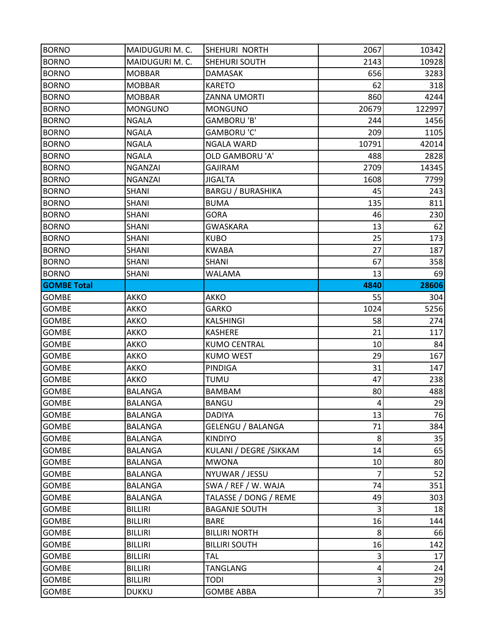| <b>BORNO</b>       | MAIDUGURI M. C. | SHEHURI NORTH            | 2067                    | 10342  |
|--------------------|-----------------|--------------------------|-------------------------|--------|
| <b>BORNO</b>       | MAIDUGURI M. C. | SHEHURI SOUTH            | 2143                    | 10928  |
| <b>BORNO</b>       | <b>MOBBAR</b>   | DAMASAK                  | 656                     | 3283   |
| <b>BORNO</b>       | <b>MOBBAR</b>   | <b>KARETO</b>            | 62                      | 318    |
| <b>BORNO</b>       | <b>MOBBAR</b>   | <b>ZANNA UMORTI</b>      | 860                     | 4244   |
| <b>BORNO</b>       | <b>MONGUNO</b>  | <b>MONGUNO</b>           | 20679                   | 122997 |
| <b>BORNO</b>       | <b>NGALA</b>    | GAMBORU 'B'              | 244                     | 1456   |
| <b>BORNO</b>       | <b>NGALA</b>    | <b>GAMBORU 'C'</b>       | 209                     | 1105   |
| <b>BORNO</b>       | <b>NGALA</b>    | <b>NGALA WARD</b>        | 10791                   | 42014  |
| <b>BORNO</b>       | <b>NGALA</b>    | <b>OLD GAMBORU 'A'</b>   | 488                     | 2828   |
| <b>BORNO</b>       | <b>NGANZAI</b>  | <b>GAJIRAM</b>           | 2709                    | 14345  |
| <b>BORNO</b>       | <b>NGANZAI</b>  | <b>JIGALTA</b>           | 1608                    | 7799   |
| <b>BORNO</b>       | <b>SHANI</b>    | <b>BARGU / BURASHIKA</b> | 45                      | 243    |
| <b>BORNO</b>       | <b>SHANI</b>    | <b>BUMA</b>              | 135                     | 811    |
| <b>BORNO</b>       | <b>SHANI</b>    | <b>GORA</b>              | 46                      | 230    |
| <b>BORNO</b>       | SHANI           | <b>GWASKARA</b>          | 13                      | 62     |
| <b>BORNO</b>       | SHANI           | <b>KUBO</b>              | 25                      | 173    |
| <b>BORNO</b>       | <b>SHANI</b>    | <b>KWABA</b>             | 27                      | 187    |
| <b>BORNO</b>       | SHANI           | <b>SHANI</b>             | 67                      | 358    |
| <b>BORNO</b>       | SHANI           | <b>WALAMA</b>            | 13                      | 69     |
| <b>GOMBE Total</b> |                 |                          | 4840                    | 28606  |
| <b>GOMBE</b>       | AKKO            | AKKO                     | 55                      | 304    |
| <b>GOMBE</b>       | AKKO            | <b>GARKO</b>             | 1024                    | 5256   |
| GOMBE              | AKKO            | <b>KALSHINGI</b>         | 58                      | 274    |
| <b>GOMBE</b>       | AKKO            | <b>KASHERE</b>           | 21                      | 117    |
| <b>GOMBE</b>       | AKKO            | <b>KUMO CENTRAL</b>      | 10                      | 84     |
| <b>GOMBE</b>       | AKKO            | <b>KUMO WEST</b>         | 29                      | 167    |
| GOMBE              | AKKO            | PINDIGA                  | 31                      | 147    |
| <b>GOMBE</b>       | AKKO            | <b>TUMU</b>              | 47                      | 238    |
| <b>GOMBE</b>       | <b>BALANGA</b>  | <b>BAMBAM</b>            | 80                      | 488    |
| <b>GOMBE</b>       | <b>BALANGA</b>  | <b>BANGU</b>             | $\overline{4}$          | 29     |
| <b>GOMBE</b>       | <b>BALANGA</b>  | <b>DADIYA</b>            | 13                      | 76     |
| <b>GOMBE</b>       | <b>BALANGA</b>  | <b>GELENGU / BALANGA</b> | 71                      | 384    |
| <b>GOMBE</b>       | <b>BALANGA</b>  | <b>KINDIYO</b>           | $\bf 8$                 | 35     |
| <b>GOMBE</b>       | <b>BALANGA</b>  | KULANI / DEGRE / SIKKAM  | 14                      | 65     |
| <b>GOMBE</b>       | <b>BALANGA</b>  | <b>MWONA</b>             | 10                      | 80     |
| GOMBE              | <b>BALANGA</b>  | NYUWAR / JESSU           | $\overline{7}$          | 52     |
| <b>GOMBE</b>       | <b>BALANGA</b>  | SWA / REF / W. WAJA      | 74                      | 351    |
| <b>GOMBE</b>       | <b>BALANGA</b>  | TALASSE / DONG / REME    | 49                      | 303    |
| GOMBE              | <b>BILLIRI</b>  | <b>BAGANJE SOUTH</b>     | 3                       | 18     |
| <b>GOMBE</b>       | <b>BILLIRI</b>  | <b>BARE</b>              | 16                      | 144    |
| <b>GOMBE</b>       | <b>BILLIRI</b>  | <b>BILLIRI NORTH</b>     | 8                       | 66     |
| <b>GOMBE</b>       | <b>BILLIRI</b>  | <b>BILLIRI SOUTH</b>     | 16                      | 142    |
| <b>GOMBE</b>       | <b>BILLIRI</b>  | TAL                      | $\mathsf 3$             | 17     |
| <b>GOMBE</b>       | <b>BILLIRI</b>  | <b>TANGLANG</b>          | $\overline{\mathbf{r}}$ | 24     |
| GOMBE              | <b>BILLIRI</b>  | TODI                     | 3                       | 29     |
| GOMBE              | <b>DUKKU</b>    | <b>GOMBE ABBA</b>        | $\overline{7}$          | 35     |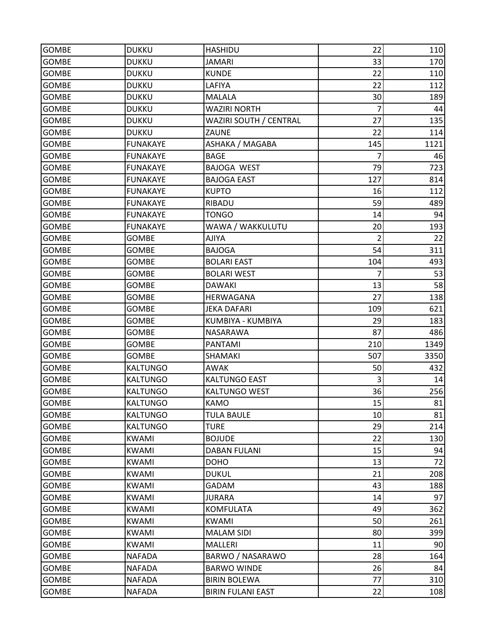| <b>GOMBE</b> | <b>DUKKU</b>    | <b>HASHIDU</b>           | 22             | 110  |
|--------------|-----------------|--------------------------|----------------|------|
| <b>GOMBE</b> | <b>DUKKU</b>    | <b>JAMARI</b>            | 33             | 170  |
| <b>GOMBE</b> | <b>DUKKU</b>    | <b>KUNDE</b>             | 22             | 110  |
| <b>GOMBE</b> | <b>DUKKU</b>    | LAFIYA                   | 22             | 112  |
| GOMBE        | <b>DUKKU</b>    | <b>MALALA</b>            | 30             | 189  |
| <b>GOMBE</b> | <b>DUKKU</b>    | <b>WAZIRI NORTH</b>      | 7              | 44   |
| <b>GOMBE</b> | <b>DUKKU</b>    | WAZIRI SOUTH / CENTRAL   | 27             | 135  |
| <b>GOMBE</b> | <b>DUKKU</b>    | ZAUNE                    | 22             | 114  |
| GOMBE        | <b>FUNAKAYE</b> | ASHAKA / MAGABA          | 145            | 1121 |
| <b>GOMBE</b> | <b>FUNAKAYE</b> | <b>BAGE</b>              | 7              | 46   |
| <b>GOMBE</b> | <b>FUNAKAYE</b> | <b>BAJOGA WEST</b>       | 79             | 723  |
| <b>GOMBE</b> | <b>FUNAKAYE</b> | <b>BAJOGA EAST</b>       | 127            | 814  |
| <b>GOMBE</b> | <b>FUNAKAYE</b> | <b>KUPTO</b>             | 16             | 112  |
| <b>GOMBE</b> | <b>FUNAKAYE</b> | RIBADU                   | 59             | 489  |
| <b>GOMBE</b> | <b>FUNAKAYE</b> | <b>TONGO</b>             | 14             | 94   |
| GOMBE        | <b>FUNAKAYE</b> | WAWA / WAKKULUTU         | 20             | 193  |
| <b>GOMBE</b> | <b>GOMBE</b>    | <b>AJIYA</b>             | $\overline{2}$ | 22   |
| <b>GOMBE</b> | <b>GOMBE</b>    | <b>BAJOGA</b>            | 54             | 311  |
| <b>GOMBE</b> | <b>GOMBE</b>    | <b>BOLARI EAST</b>       | 104            | 493  |
| <b>GOMBE</b> | <b>GOMBE</b>    | <b>BOLARI WEST</b>       | 7              | 53   |
| <b>GOMBE</b> | <b>GOMBE</b>    | <b>DAWAKI</b>            | 13             | 58   |
| <b>GOMBE</b> | <b>GOMBE</b>    | HERWAGANA                | 27             | 138  |
| <b>GOMBE</b> | <b>GOMBE</b>    | <b>JEKA DAFARI</b>       | 109            | 621  |
| GOMBE        | <b>GOMBE</b>    | KUMBIYA - KUMBIYA        | 29             | 183  |
| <b>GOMBE</b> | <b>GOMBE</b>    | NASARAWA                 | 87             | 486  |
| <b>GOMBE</b> | <b>GOMBE</b>    | PANTAMI                  | 210            | 1349 |
| <b>GOMBE</b> | <b>GOMBE</b>    | SHAMAKI                  | 507            | 3350 |
| GOMBE        | <b>KALTUNGO</b> | <b>AWAK</b>              | 50             | 432  |
| <b>GOMBE</b> | <b>KALTUNGO</b> | <b>KALTUNGO EAST</b>     | 3              | 14   |
| <b>GOMBE</b> | <b>KALTUNGO</b> | <b>KALTUNGO WEST</b>     | 36             | 256  |
| <b>GOMBE</b> | <b>KALTUNGO</b> | <b>KAMO</b>              | 15             | 81   |
| <b>GOMBE</b> | <b>KALTUNGO</b> | <b>TULA BAULE</b>        | 10             | 81   |
| <b>GOMBE</b> | <b>KALTUNGO</b> | <b>TURE</b>              | 29             | 214  |
| <b>GOMBE</b> | <b>KWAMI</b>    | <b>BOJUDE</b>            | 22             | 130  |
| <b>GOMBE</b> | <b>KWAMI</b>    | <b>DABAN FULANI</b>      | 15             | 94   |
| GOMBE        | <b>KWAMI</b>    | <b>DOHO</b>              | 13             | 72   |
| <b>GOMBE</b> | <b>KWAMI</b>    | <b>DUKUL</b>             | 21             | 208  |
| <b>GOMBE</b> | KWAMI           | <b>GADAM</b>             | 43             | 188  |
| <b>GOMBE</b> | KWAMI           | JURARA                   | 14             | 97   |
| GOMBE        | <b>KWAMI</b>    | <b>KOMFULATA</b>         | 49             | 362  |
| <b>GOMBE</b> | <b>KWAMI</b>    | KWAMI                    | 50             | 261  |
| <b>GOMBE</b> | <b>KWAMI</b>    | <b>MALAM SIDI</b>        | 80             | 399  |
| <b>GOMBE</b> | <b>KWAMI</b>    | MALLERI                  | 11             | 90   |
| <b>GOMBE</b> | <b>NAFADA</b>   | BARWO / NASARAWO         | 28             | 164  |
| <b>GOMBE</b> | <b>NAFADA</b>   | <b>BARWO WINDE</b>       | 26             | 84   |
| <b>GOMBE</b> | <b>NAFADA</b>   | <b>BIRIN BOLEWA</b>      | 77             | 310  |
| GOMBE        | <b>NAFADA</b>   | <b>BIRIN FULANI EAST</b> | 22             | 108  |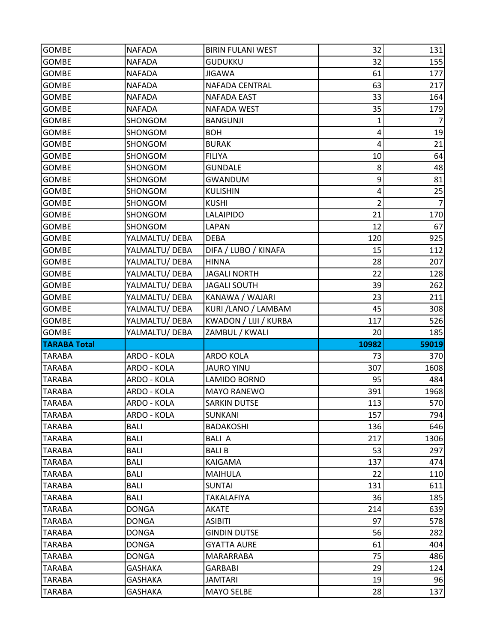| <b>GOMBE</b>            | <b>NAFADA</b>             | <b>BIRIN FULANI WEST</b> | 32                      | 131            |
|-------------------------|---------------------------|--------------------------|-------------------------|----------------|
| <b>GOMBE</b>            | <b>NAFADA</b>             | <b>GUDUKKU</b>           | 32                      | 155            |
| <b>GOMBE</b>            | <b>NAFADA</b>             | <b>JIGAWA</b>            | 61                      | 177            |
| <b>GOMBE</b>            | <b>NAFADA</b>             | NAFADA CENTRAL           | 63                      | 217            |
| <b>GOMBE</b>            | <b>NAFADA</b>             | <b>NAFADA EAST</b>       | 33                      | 164            |
| <b>GOMBE</b>            | <b>NAFADA</b>             | <b>NAFADA WEST</b>       | 35                      | 179            |
| <b>GOMBE</b>            | SHONGOM                   | <b>BANGUNJI</b>          | 1                       |                |
| <b>GOMBE</b>            | SHONGOM                   | <b>BOH</b>               | 4                       | 19             |
| <b>GOMBE</b>            | SHONGOM                   | <b>BURAK</b>             | $\overline{\mathbf{4}}$ | 21             |
| <b>GOMBE</b>            | SHONGOM                   | <b>FILIYA</b>            | 10                      | 64             |
| <b>GOMBE</b>            | SHONGOM                   | <b>GUNDALE</b>           | 8                       | 48             |
| <b>GOMBE</b>            | SHONGOM                   | <b>GWANDUM</b>           | 9                       | 81             |
| <b>GOMBE</b>            | SHONGOM                   | <b>KULISHIN</b>          | 4                       | 25             |
| <b>GOMBE</b>            | SHONGOM                   | <b>KUSHI</b>             | $\overline{2}$          | $\overline{7}$ |
| <b>GOMBE</b>            | SHONGOM                   | <b>LALAIPIDO</b>         | 21                      | 170            |
| <b>GOMBE</b>            | SHONGOM                   | <b>LAPAN</b>             | 12                      | 67             |
| <b>GOMBE</b>            | YALMALTU/ DEBA            | <b>DEBA</b>              | 120                     | 925            |
| <b>GOMBE</b>            | YALMALTU/ DEBA            | DIFA / LUBO / KINAFA     | 15                      | 112            |
| <b>GOMBE</b>            | YALMALTU/ DEBA            | <b>HINNA</b>             | 28                      | 207            |
| <b>GOMBE</b>            | YALMALTU/ DEBA            | <b>JAGALI NORTH</b>      | 22                      | 128            |
| <b>GOMBE</b>            | YALMALTU/ DEBA            | <b>JAGALI SOUTH</b>      | 39                      | 262            |
| <b>GOMBE</b>            | YALMALTU/DEBA             | KANAWA / WAJARI          | 23                      | 211            |
| <b>GOMBE</b>            | YALMALTU/ DEBA            | KURI / LANO / LAMBAM     | 45                      | 308            |
| <b>GOMBE</b>            | YALMALTU/ DEBA            | KWADON / LIJI / KURBA    | 117                     | 526            |
|                         |                           |                          |                         |                |
| <b>GOMBE</b>            | YALMALTU/ DEBA            | ZAMBUL / KWALI           | 20                      | 185            |
| <b>TARABA Total</b>     |                           |                          | 10982                   | 59019          |
| <b>TARABA</b>           | ARDO - KOLA               | <b>ARDO KOLA</b>         | 73                      | 370            |
| <b>TARABA</b>           | ARDO - KOLA               | <b>JAURO YINU</b>        | 307                     | 1608           |
| <b>TARABA</b>           | ARDO - KOLA               | <b>LAMIDO BORNO</b>      | 95                      | 484            |
| <b>TARABA</b>           | ARDO - KOLA               | <b>MAYO RANEWO</b>       | 391                     | 1968           |
| <b>TARABA</b>           | ARDO - KOLA               | <b>SARKIN DUTSE</b>      | 113                     | 570            |
| <b>TARABA</b>           | ARDO - KOLA               | SUNKANI                  | 157                     | 794            |
| <b>TARABA</b>           | <b>BALI</b>               | <b>BADAKOSHI</b>         | 136                     | 646            |
| <b>TARABA</b>           | <b>BALI</b>               | <b>BALI A</b>            | 217                     | 1306           |
| <b>TARABA</b>           | <b>BALI</b>               | <b>BALIB</b>             | 53                      | 297            |
| TARABA                  | <b>BALI</b>               | <b>KAIGAMA</b>           | 137                     | 474            |
| <b>TARABA</b>           | <b>BALI</b>               | <b>MAIHULA</b>           | 22                      | 110            |
| <b>TARABA</b>           | <b>BALI</b>               | <b>SUNTAI</b>            | 131                     | 611            |
| <b>TARABA</b>           | BALI                      | <b>TAKALAFIYA</b>        | 36                      | 185            |
| <b>TARABA</b>           | <b>DONGA</b>              | <b>AKATE</b>             | 214                     | 639            |
| TARABA                  | <b>DONGA</b>              | <b>ASIBITI</b>           | 97                      | 578            |
| <b>TARABA</b>           | <b>DONGA</b>              | <b>GINDIN DUTSE</b>      | 56                      | 282            |
| <b>TARABA</b>           | <b>DONGA</b>              | <b>GYATTA AURE</b>       | 61                      | 404            |
| <b>TARABA</b>           | <b>DONGA</b>              | MARARRABA                | 75                      | 486            |
| <b>TARABA</b>           | <b>GASHAKA</b>            | <b>GARBABI</b>           | 29                      | 124            |
| TARABA<br><b>TARABA</b> | GASHAKA<br><b>GASHAKA</b> | JAMTARI<br>MAYO SELBE    | 19<br>28                | 96<br>137      |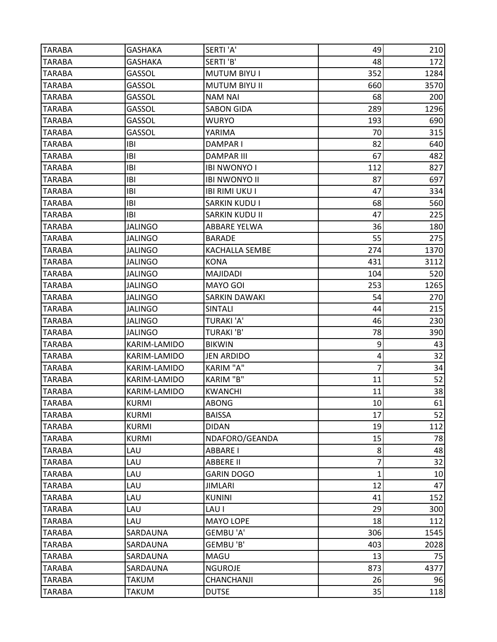| <b>TARABA</b> | <b>GASHAKA</b> | SERTI'A'              | 49           | 210  |
|---------------|----------------|-----------------------|--------------|------|
| <b>TARABA</b> | <b>GASHAKA</b> | SERTI'B'              | 48           | 172  |
| <b>TARABA</b> | <b>GASSOL</b>  | <b>MUTUM BIYU I</b>   | 352          | 1284 |
| <b>TARABA</b> | GASSOL         | <b>MUTUM BIYU II</b>  | 660          | 3570 |
| <b>TARABA</b> | GASSOL         | <b>NAM NAI</b>        | 68           | 200  |
| <b>TARABA</b> | GASSOL         | <b>SABON GIDA</b>     | 289          | 1296 |
| <b>TARABA</b> | GASSOL         | <b>WURYO</b>          | 193          | 690  |
| <b>TARABA</b> | GASSOL         | YARIMA                | 70           | 315  |
| <b>TARABA</b> | IBI            | <b>DAMPARI</b>        | 82           | 640  |
| TARABA        | IBI            | <b>DAMPAR III</b>     | 67           | 482  |
| <b>TARABA</b> | IBI            | <b>IBI NWONYO I</b>   | 112          | 827  |
| <b>TARABA</b> | <b>IBI</b>     | <b>IBI NWONYO II</b>  | 87           | 697  |
| <b>TARABA</b> | IBI            | <b>IBI RIMI UKU I</b> | 47           | 334  |
| <b>TARABA</b> | IBI            | <b>SARKIN KUDU I</b>  | 68           | 560  |
| <b>TARABA</b> | IBI            | <b>SARKIN KUDU II</b> | 47           | 225  |
| <b>TARABA</b> | <b>JALINGO</b> | <b>ABBARE YELWA</b>   | 36           | 180  |
| <b>TARABA</b> | <b>JALINGO</b> | <b>BARADE</b>         | 55           | 275  |
| <b>TARABA</b> | <b>JALINGO</b> | KACHALLA SEMBE        | 274          | 1370 |
| <b>TARABA</b> | <b>JALINGO</b> | <b>KONA</b>           | 431          | 3112 |
| <b>TARABA</b> | <b>JALINGO</b> | MAJIDADI              | 104          | 520  |
| <b>TARABA</b> | <b>JALINGO</b> | <b>MAYO GOI</b>       | 253          | 1265 |
| <b>TARABA</b> | <b>JALINGO</b> | <b>SARKIN DAWAKI</b>  | 54           | 270  |
| <b>TARABA</b> | <b>JALINGO</b> | SINTALI               | 44           | 215  |
| <b>TARABA</b> | JALINGO        | <b>TURAKI 'A'</b>     | 46           | 230  |
| <b>TARABA</b> | <b>JALINGO</b> | <b>TURAKI'B'</b>      | 78           | 390  |
| <b>TARABA</b> | KARIM-LAMIDO   | <b>BIKWIN</b>         | 9            | 43   |
| <b>TARABA</b> | KARIM-LAMIDO   | <b>JEN ARDIDO</b>     | 4            | 32   |
| <b>TARABA</b> | KARIM-LAMIDO   | <b>KARIM "A"</b>      | 7            | 34   |
| <b>TARABA</b> | KARIM-LAMIDO   | KARIM "B"             | 11           | 52   |
| <b>TARABA</b> | KARIM-LAMIDO   | <b>KWANCHI</b>        | 11           | 38   |
| <b>TARABA</b> | <b>KURMI</b>   | <b>ABONG</b>          | 10           | 61   |
| <b>TARABA</b> | <b>KURMI</b>   | <b>BAISSA</b>         | 17           | 52   |
| <b>TARABA</b> | <b>KURMI</b>   | <b>DIDAN</b>          | 19           | 112  |
| TARABA        | <b>KURMI</b>   | NDAFORO/GEANDA        | 15           | 78   |
| <b>TARABA</b> | LAU            | <b>ABBARE I</b>       | 8            | 48   |
| TARABA        | LAU            | <b>ABBERE II</b>      | 7            | 32   |
| <b>TARABA</b> | LAU            | <b>GARIN DOGO</b>     | $\mathbf{1}$ | 10   |
| <b>TARABA</b> | LAU            | <b>JIMLARI</b>        | 12           | 47   |
| <b>TARABA</b> | LAU            | <b>KUNINI</b>         | 41           | 152  |
| <b>TARABA</b> | LAU            | LAU I                 | 29           | 300  |
| <b>TARABA</b> | LAU            | MAYO LOPE             | 18           | 112  |
| <b>TARABA</b> | SARDAUNA       | GEMBU 'A'             | 306          | 1545 |
| <b>TARABA</b> | SARDAUNA       | GEMBU 'B'             | 403          | 2028 |
| <b>TARABA</b> | SARDAUNA       | MAGU                  | 13           | 75   |
| <b>TARABA</b> | SARDAUNA       | <b>NGUROJE</b>        | 873          | 4377 |
| TARABA        | TAKUM          | CHANCHANJI            | 26           | 96   |
| <b>TARABA</b> | <b>TAKUM</b>   | <b>DUTSE</b>          | 35           | 118  |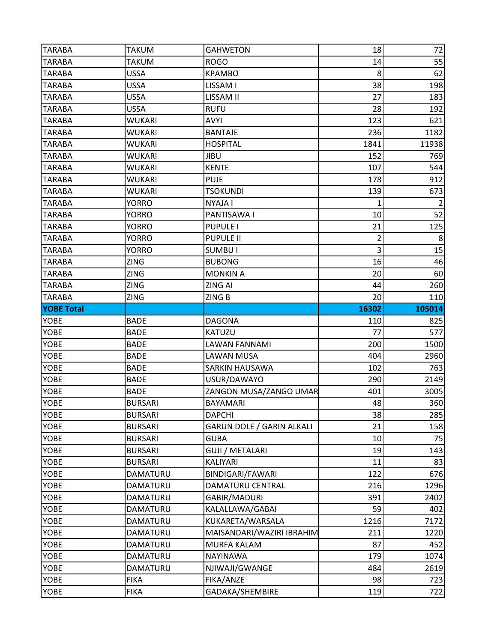| <b>TARABA</b>     | <b>TAKUM</b>               | <b>GAHWETON</b>              | 18             | 72             |
|-------------------|----------------------------|------------------------------|----------------|----------------|
| <b>TARABA</b>     | <b>TAKUM</b>               | <b>ROGO</b>                  | 14             | 55             |
| <b>TARABA</b>     | <b>USSA</b>                | <b>KPAMBO</b>                | 8              | 62             |
| <b>TARABA</b>     | <b>USSA</b>                | LISSAM I                     | 38             | 198            |
| <b>TARABA</b>     | <b>USSA</b>                | LISSAM II                    | 27             | 183            |
| <b>TARABA</b>     | <b>USSA</b>                | <b>RUFU</b>                  | 28             | 192            |
| <b>TARABA</b>     | <b>WUKARI</b>              | <b>AVYI</b>                  | 123            | 621            |
| <b>TARABA</b>     | <b>WUKARI</b>              | <b>BANTAJE</b>               | 236            | 1182           |
| <b>TARABA</b>     | <b>WUKARI</b>              | <b>HOSPITAL</b>              | 1841           | 11938          |
| <b>TARABA</b>     | <b>WUKARI</b>              | <b>JIBU</b>                  | 152            | 769            |
| <b>TARABA</b>     | <b>WUKARI</b>              | <b>KENTE</b>                 | 107            | 544            |
| <b>TARABA</b>     | <b>WUKARI</b>              | <b>PUJE</b>                  | 178            | 912            |
| <b>TARABA</b>     | <b>WUKARI</b>              | <b>TSOKUNDI</b>              | 139            | 673            |
| <b>TARABA</b>     | <b>YORRO</b>               | <b>NYAJA I</b>               | 1              | $\overline{2}$ |
| <b>TARABA</b>     | <b>YORRO</b>               | PANTISAWA I                  | 10             | 52             |
| <b>TARABA</b>     | <b>YORRO</b>               | <b>PUPULE I</b>              | 21             | 125            |
| <b>TARABA</b>     | <b>YORRO</b>               | <b>PUPULE II</b>             | $\overline{2}$ | 8              |
| <b>TARABA</b>     | <b>YORRO</b>               | <b>SUMBUI</b>                | 3              | 15             |
| <b>TARABA</b>     | <b>ZING</b>                | <b>BUBONG</b>                | 16             | 46             |
| <b>TARABA</b>     | <b>ZING</b>                | <b>MONKIN A</b>              | 20             | 60             |
| <b>TARABA</b>     | <b>ZING</b>                | <b>ZING AI</b>               | 44             | 260            |
| <b>TARABA</b>     | <b>ZING</b>                | ZING B                       | 20             | 110            |
| <b>YOBE Total</b> |                            |                              | 16302          | 105014         |
|                   |                            |                              |                | 825            |
| <b>YOBE</b>       | <b>BADE</b>                | <b>DAGONA</b>                | 110            |                |
| <b>YOBE</b>       | <b>BADE</b>                | <b>KATUZU</b>                | 77             | 577            |
| <b>YOBE</b>       | <b>BADE</b>                | <b>LAWAN FANNAMI</b>         | 200            | 1500           |
| YOBE              | <b>BADE</b>                | <b>LAWAN MUSA</b>            | 404            | 2960           |
| <b>YOBE</b>       | <b>BADE</b>                | <b>SARKIN HAUSAWA</b>        | 102            | 763            |
| <b>YOBE</b>       | <b>BADE</b>                | USUR/DAWAYO                  | 290            | 2149           |
| YOBE              | <b>BADE</b>                | ZANGON MUSA/ZANGO UMAR       | 401            | 3005           |
| <b>YOBE</b>       | <b>BURSARI</b>             | <b>BAYAMARI</b>              | 48             | 360            |
| YOBE              | <b>BURSARI</b>             | <b>DAPCHI</b>                | 38             | 285            |
| YOBE              | <b>BURSARI</b>             | GARUN DOLE / GARIN ALKALI    | 21             | 158            |
| YOBE              | <b>BURSARI</b>             | <b>GUBA</b>                  | 10             | 75             |
| YOBE              | <b>BURSARI</b>             | <b>GUJI / METALARI</b>       | 19             | 143            |
| YOBE              | <b>BURSARI</b>             | KALIYARI                     | 11             | 83             |
| YOBE              | DAMATURU                   | BINDIGARI/FAWARI             | 122            | 676            |
| YOBE              | DAMATURU                   | DAMATURU CENTRAL             | 216            | 1296           |
| <b>YOBE</b>       | DAMATURU                   | GABIR/MADURI                 | 391            | 2402           |
| YOBE              | DAMATURU                   | KALALLAWA/GABAI              | 59             | 402            |
| YOBE              | DAMATURU                   | KUKARETA/WARSALA             | 1216           | 7172           |
| YOBE              | DAMATURU                   | MAISANDARI/WAZIRI IBRAHIM    | 211            | 1220           |
| YOBE              | DAMATURU                   | <b>MURFA KALAM</b>           | 87             | 452            |
| YOBE              | DAMATURU                   | <b>NAYINAWA</b>              | 179            | 1074           |
| YOBE              | DAMATURU                   | NJIWAJI/GWANGE               | 484            | 2619           |
| YOBE<br>YOBE      | <b>FIKA</b><br><b>FIKA</b> | FIKA/ANZE<br>GADAKA/SHEMBIRE | 98<br>119      | 723<br>722     |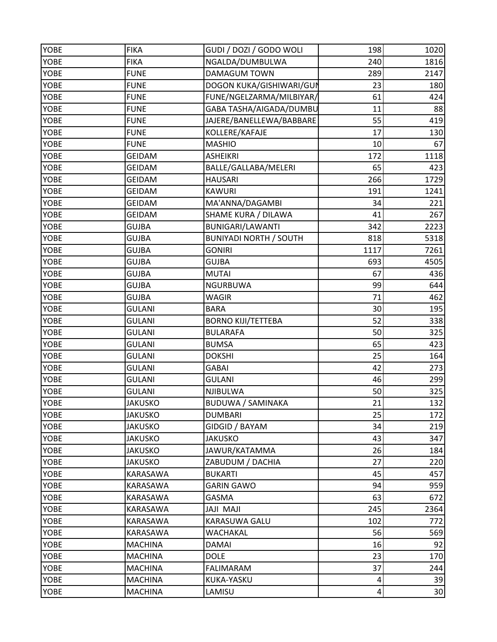| <b>YOBE</b> | <b>FIKA</b>    | GUDI / DOZI / GODO WOLI       | 198       | 1020 |
|-------------|----------------|-------------------------------|-----------|------|
| YOBE        | <b>FIKA</b>    | NGALDA/DUMBULWA               | 240       | 1816 |
| <b>YOBE</b> | <b>FUNE</b>    | <b>DAMAGUM TOWN</b>           | 289       | 2147 |
| <b>YOBE</b> | <b>FUNE</b>    | DOGON KUKA/GISHIWARI/GUN      | 23        | 180  |
| <b>YOBE</b> | <b>FUNE</b>    | FUNE/NGELZARMA/MILBIYAR/      | 61        | 424  |
| <b>YOBE</b> | <b>FUNE</b>    | GABA TASHA/AIGADA/DUMBU       | 11        | 88   |
| <b>YOBE</b> | <b>FUNE</b>    | JAJERE/BANELLEWA/BABBARE      | 55        | 419  |
| YOBE        | <b>FUNE</b>    | KOLLERE/KAFAJE                | 17        | 130  |
| <b>YOBE</b> | <b>FUNE</b>    | <b>MASHIO</b>                 | 10        | 67   |
| <b>YOBE</b> | <b>GEIDAM</b>  | <b>ASHEIKRI</b>               | 172       | 1118 |
| <b>YOBE</b> | <b>GEIDAM</b>  | BALLE/GALLABA/MELERI          | 65        | 423  |
| <b>YOBE</b> | <b>GEIDAM</b>  | <b>HAUSARI</b>                | 266       | 1729 |
| YOBE        | <b>GEIDAM</b>  | <b>KAWURI</b>                 | 191       | 1241 |
| YOBE        | <b>GEIDAM</b>  | MA'ANNA/DAGAMBI               | 34        | 221  |
| YOBE        | <b>GEIDAM</b>  | SHAME KURA / DILAWA           | 41        | 267  |
| <b>YOBE</b> | <b>GUJBA</b>   | <b>BUNIGARI/LAWANTI</b>       | 342       | 2223 |
| <b>YOBE</b> | <b>GUJBA</b>   | <b>BUNIYADI NORTH / SOUTH</b> | 818       | 5318 |
| YOBE        | <b>GUJBA</b>   | <b>GONIRI</b>                 | 1117      | 7261 |
| <b>YOBE</b> | <b>GUJBA</b>   | <b>GUJBA</b>                  | 693       | 4505 |
| YOBE        | <b>GUJBA</b>   | <b>MUTAI</b>                  | 67        | 436  |
| <b>YOBE</b> | <b>GUJBA</b>   | <b>NGURBUWA</b>               | 99        | 644  |
| <b>YOBE</b> | <b>GUJBA</b>   | <b>WAGIR</b>                  | 71        | 462  |
| <b>YOBE</b> | <b>GULANI</b>  | <b>BARA</b>                   | 30        | 195  |
| <b>YOBE</b> | <b>GULANI</b>  | <b>BORNO KIJI/TETTEBA</b>     | 52        | 338  |
| <b>YOBE</b> | <b>GULANI</b>  | <b>BULARAFA</b>               | 50        | 325  |
| <b>YOBE</b> | <b>GULANI</b>  | <b>BUMSA</b>                  | 65        | 423  |
| YOBE        | <b>GULANI</b>  | <b>DOKSHI</b>                 | 25        | 164  |
| <b>YOBE</b> | <b>GULANI</b>  | <b>GABAI</b>                  | 42        | 273  |
| <b>YOBE</b> | <b>GULANI</b>  | <b>GULANI</b>                 | 46        | 299  |
| YOBE        | <b>GULANI</b>  | NJIBULWA                      | 50        | 325  |
| <b>YOBE</b> | <b>JAKUSKO</b> | <b>BUDUWA / SAMINAKA</b>      | 21        | 132  |
| YOBE        | <b>JAKUSKO</b> | <b>DUMBARI</b>                | 25        | 172  |
| <b>YOBE</b> | <b>JAKUSKO</b> | GIDGID / BAYAM                | 34        | 219  |
| <b>YOBE</b> | <b>JAKUSKO</b> | <b>JAKUSKO</b>                | 43        | 347  |
| YOBE        | <b>JAKUSKO</b> | JAWUR/KATAMMA                 | 26        | 184  |
| <b>YOBE</b> | <b>JAKUSKO</b> | ZABUDUM / DACHIA              | 27        | 220  |
| <b>YOBE</b> | KARASAWA       | <b>BUKARTI</b>                | 45        | 457  |
| <b>YOBE</b> | KARASAWA       | <b>GARIN GAWO</b>             | 94        | 959  |
| <b>YOBE</b> | KARASAWA       | GASMA                         | 63        | 672  |
| YOBE        | KARASAWA       | <b>ILAN ILAL</b>              | 245       | 2364 |
| <b>YOBE</b> | KARASAWA       | KARASUWA GALU                 | 102       | 772  |
| <b>YOBE</b> | KARASAWA       | <b>WACHAKAL</b>               | 56        | 569  |
| <b>YOBE</b> | <b>MACHINA</b> | <b>DAMAI</b>                  | 16        | 92   |
| <b>YOBE</b> | <b>MACHINA</b> | <b>DOLE</b>                   | 23        | 170  |
| <b>YOBE</b> | <b>MACHINA</b> | <b>FALIMARAM</b>              | 37        | 244  |
| YOBE        | <b>MACHINA</b> | KUKA-YASKU                    | 4         | 39   |
| YOBE        | <b>MACHINA</b> | LAMISU                        | $\pmb{4}$ | 30   |